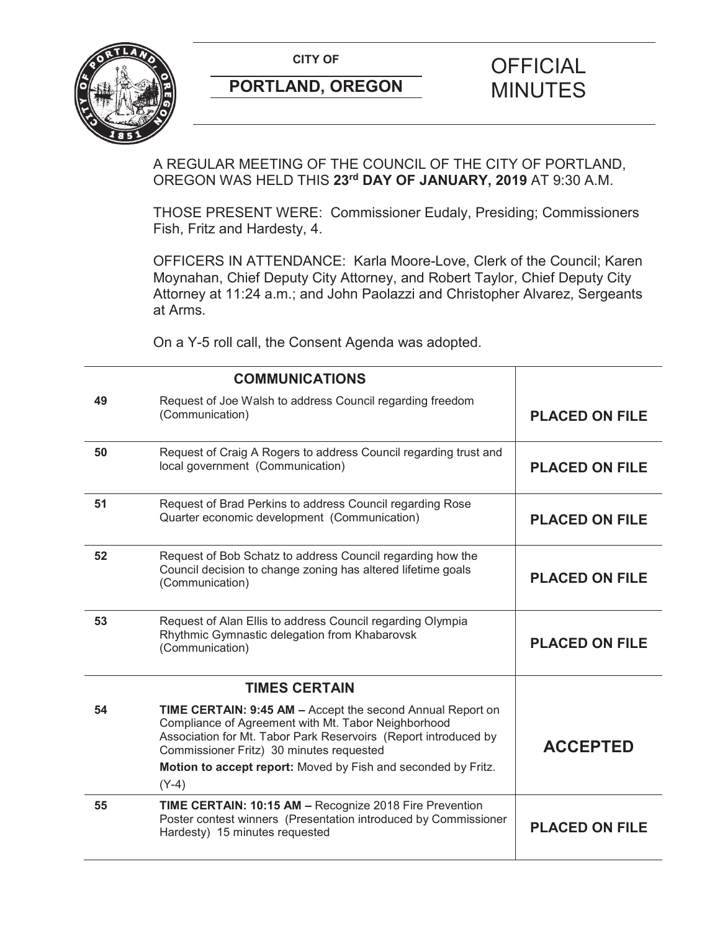**CITY OF CITY OF PICIAL** 



# **PORTLAND, OREGON MINUTES**

# A REGULAR MEETING OF THE COUNCIL OF THE CITY OF PORTLAND, OREGON WAS HELD THIS **23rd DAY OF JANUARY, 2019** AT 9:30 A.M.

THOSE PRESENT WERE: Commissioner Eudaly, Presiding; Commissioners Fish, Fritz and Hardesty, 4.

OFFICERS IN ATTENDANCE: Karla Moore-Love, Clerk of the Council; Karen Moynahan, Chief Deputy City Attorney, and Robert Taylor, Chief Deputy City Attorney at 11:24 a.m.; and John Paolazzi and Christopher Alvarez, Sergeants at Arms.

On a Y-5 roll call, the Consent Agenda was adopted.

|    | <b>COMMUNICATIONS</b>                                                                                                                                                                                                                                                                                        |                       |
|----|--------------------------------------------------------------------------------------------------------------------------------------------------------------------------------------------------------------------------------------------------------------------------------------------------------------|-----------------------|
| 49 | Request of Joe Walsh to address Council regarding freedom<br>(Communication)                                                                                                                                                                                                                                 | <b>PLACED ON FILE</b> |
| 50 | Request of Craig A Rogers to address Council regarding trust and<br>local government (Communication)                                                                                                                                                                                                         | <b>PLACED ON FILE</b> |
| 51 | Request of Brad Perkins to address Council regarding Rose<br>Quarter economic development (Communication)                                                                                                                                                                                                    | <b>PLACED ON FILE</b> |
| 52 | Request of Bob Schatz to address Council regarding how the<br>Council decision to change zoning has altered lifetime goals<br>(Communication)                                                                                                                                                                | <b>PLACED ON FILE</b> |
| 53 | Request of Alan Ellis to address Council regarding Olympia<br>Rhythmic Gymnastic delegation from Khabarovsk<br>(Communication)                                                                                                                                                                               | <b>PLACED ON FILE</b> |
|    | <b>TIMES CERTAIN</b>                                                                                                                                                                                                                                                                                         |                       |
| 54 | TIME CERTAIN: 9:45 AM - Accept the second Annual Report on<br>Compliance of Agreement with Mt. Tabor Neighborhood<br>Association for Mt. Tabor Park Reservoirs (Report introduced by<br>Commissioner Fritz) 30 minutes requested<br>Motion to accept report: Moved by Fish and seconded by Fritz.<br>$(Y-4)$ | <b>ACCEPTED</b>       |
| 55 | TIME CERTAIN: 10:15 AM - Recognize 2018 Fire Prevention<br>Poster contest winners (Presentation introduced by Commissioner<br>Hardesty) 15 minutes requested                                                                                                                                                 | <b>PLACED ON FILE</b> |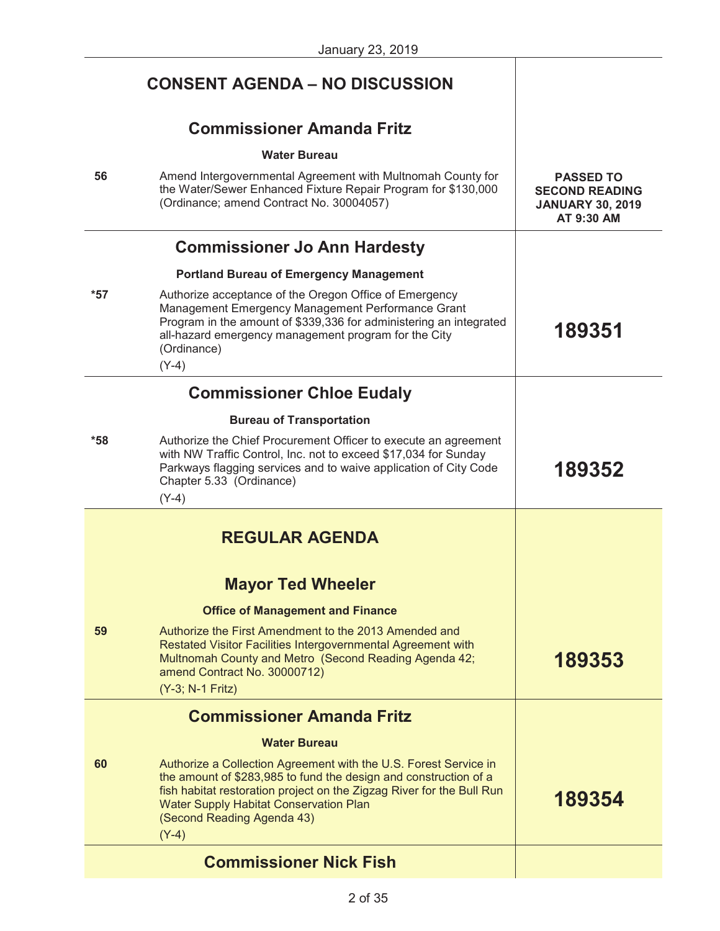|       | <b>CONSENT AGENDA - NO DISCUSSION</b>                                                                                                                                                                                                                                                                   |                                                                                    |
|-------|---------------------------------------------------------------------------------------------------------------------------------------------------------------------------------------------------------------------------------------------------------------------------------------------------------|------------------------------------------------------------------------------------|
|       | <b>Commissioner Amanda Fritz</b>                                                                                                                                                                                                                                                                        |                                                                                    |
|       | <b>Water Bureau</b>                                                                                                                                                                                                                                                                                     |                                                                                    |
| 56    | Amend Intergovernmental Agreement with Multnomah County for<br>the Water/Sewer Enhanced Fixture Repair Program for \$130,000<br>(Ordinance; amend Contract No. 30004057)                                                                                                                                | <b>PASSED TO</b><br><b>SECOND READING</b><br><b>JANUARY 30, 2019</b><br>AT 9:30 AM |
|       | <b>Commissioner Jo Ann Hardesty</b>                                                                                                                                                                                                                                                                     |                                                                                    |
|       | <b>Portland Bureau of Emergency Management</b>                                                                                                                                                                                                                                                          |                                                                                    |
| $*57$ | Authorize acceptance of the Oregon Office of Emergency<br>Management Emergency Management Performance Grant<br>Program in the amount of \$339,336 for administering an integrated<br>all-hazard emergency management program for the City<br>(Ordinance)<br>$(Y-4)$                                     | 189351                                                                             |
|       | <b>Commissioner Chloe Eudaly</b>                                                                                                                                                                                                                                                                        |                                                                                    |
|       | <b>Bureau of Transportation</b>                                                                                                                                                                                                                                                                         |                                                                                    |
| $*58$ | Authorize the Chief Procurement Officer to execute an agreement<br>with NW Traffic Control, Inc. not to exceed \$17,034 for Sunday<br>Parkways flagging services and to waive application of City Code<br>Chapter 5.33 (Ordinance)<br>$(Y-4)$                                                           | 189352                                                                             |
|       | <b>REGULAR AGENDA</b>                                                                                                                                                                                                                                                                                   |                                                                                    |
|       | <b>Mayor Ted Wheeler</b>                                                                                                                                                                                                                                                                                |                                                                                    |
|       | <b>Office of Management and Finance</b>                                                                                                                                                                                                                                                                 |                                                                                    |
| 59    | Authorize the First Amendment to the 2013 Amended and<br>Restated Visitor Facilities Intergovernmental Agreement with<br>Multnomah County and Metro (Second Reading Agenda 42;<br>amend Contract No. 30000712)<br>(Y-3; N-1 Fritz)                                                                      | 189353                                                                             |
|       | <b>Commissioner Amanda Fritz</b>                                                                                                                                                                                                                                                                        |                                                                                    |
|       | <b>Water Bureau</b>                                                                                                                                                                                                                                                                                     |                                                                                    |
| 60    | Authorize a Collection Agreement with the U.S. Forest Service in<br>the amount of \$283,985 to fund the design and construction of a<br>fish habitat restoration project on the Zigzag River for the Bull Run<br><b>Water Supply Habitat Conservation Plan</b><br>(Second Reading Agenda 43)<br>$(Y-4)$ | 189354                                                                             |
|       | <b>Commissioner Nick Fish</b>                                                                                                                                                                                                                                                                           |                                                                                    |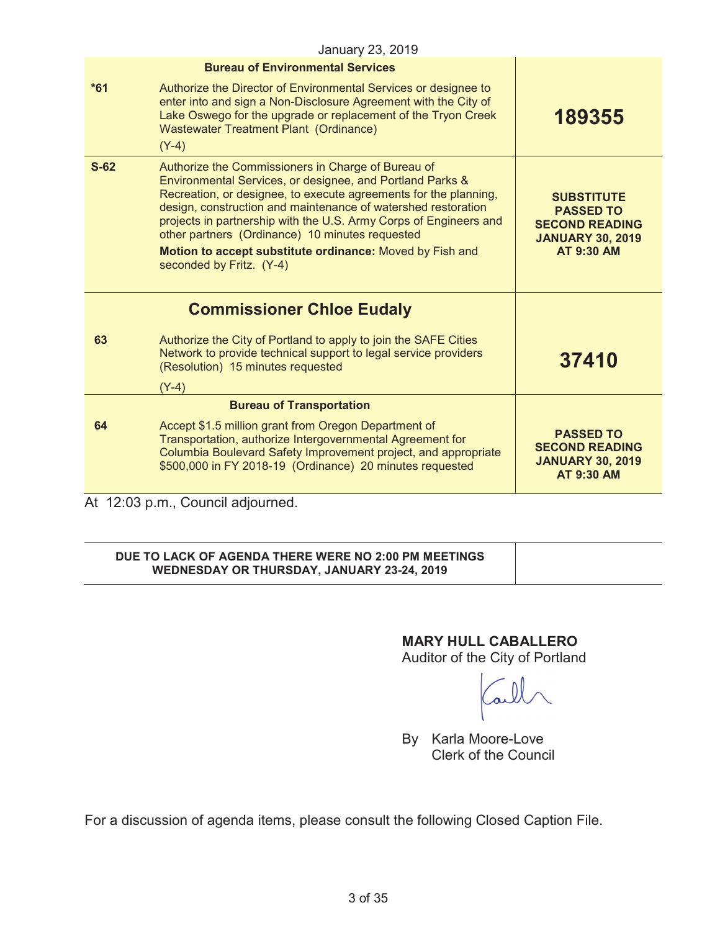|        | January 23, 2019                                                                                                                                                                                                                                                                                                                                                                                                                                                     |                                                                                                                |
|--------|----------------------------------------------------------------------------------------------------------------------------------------------------------------------------------------------------------------------------------------------------------------------------------------------------------------------------------------------------------------------------------------------------------------------------------------------------------------------|----------------------------------------------------------------------------------------------------------------|
|        | <b>Bureau of Environmental Services</b>                                                                                                                                                                                                                                                                                                                                                                                                                              |                                                                                                                |
| $*61$  | Authorize the Director of Environmental Services or designee to<br>enter into and sign a Non-Disclosure Agreement with the City of<br>Lake Oswego for the upgrade or replacement of the Tryon Creek<br><b>Wastewater Treatment Plant (Ordinance)</b><br>$(Y-4)$                                                                                                                                                                                                      | 189355                                                                                                         |
| $S-62$ | Authorize the Commissioners in Charge of Bureau of<br>Environmental Services, or designee, and Portland Parks &<br>Recreation, or designee, to execute agreements for the planning,<br>design, construction and maintenance of watershed restoration<br>projects in partnership with the U.S. Army Corps of Engineers and<br>other partners (Ordinance) 10 minutes requested<br>Motion to accept substitute ordinance: Moved by Fish and<br>seconded by Fritz. (Y-4) | <b>SUBSTITUTE</b><br><b>PASSED TO</b><br><b>SECOND READING</b><br><b>JANUARY 30, 2019</b><br><b>AT 9:30 AM</b> |
|        | <b>Commissioner Chloe Eudaly</b>                                                                                                                                                                                                                                                                                                                                                                                                                                     |                                                                                                                |
| 63     | Authorize the City of Portland to apply to join the SAFE Cities<br>Network to provide technical support to legal service providers<br>(Resolution) 15 minutes requested<br>$(Y-4)$                                                                                                                                                                                                                                                                                   | 37410                                                                                                          |
|        | <b>Bureau of Transportation</b>                                                                                                                                                                                                                                                                                                                                                                                                                                      |                                                                                                                |
| 64     | Accept \$1.5 million grant from Oregon Department of<br>Transportation, authorize Intergovernmental Agreement for<br>Columbia Boulevard Safety Improvement project, and appropriate<br>\$500,000 in FY 2018-19 (Ordinance) 20 minutes requested                                                                                                                                                                                                                      | <b>PASSED TO</b><br><b>SECOND READING</b><br><b>JANUARY 30, 2019</b><br><b>AT 9:30 AM</b>                      |
|        | At 12:03 p.m., Council adjourned.                                                                                                                                                                                                                                                                                                                                                                                                                                    |                                                                                                                |

# **DUE TO LACK OF AGENDA THERE WERE NO 2:00 PM MEETINGS WEDNESDAY OR THURSDAY, JANUARY 23-24, 2019**

**MARY HULL CABALLERO** 

Auditor of the City of Portland

Carl

By Karla Moore-Love Clerk of the Council

For a discussion of agenda items, please consult the following Closed Caption File.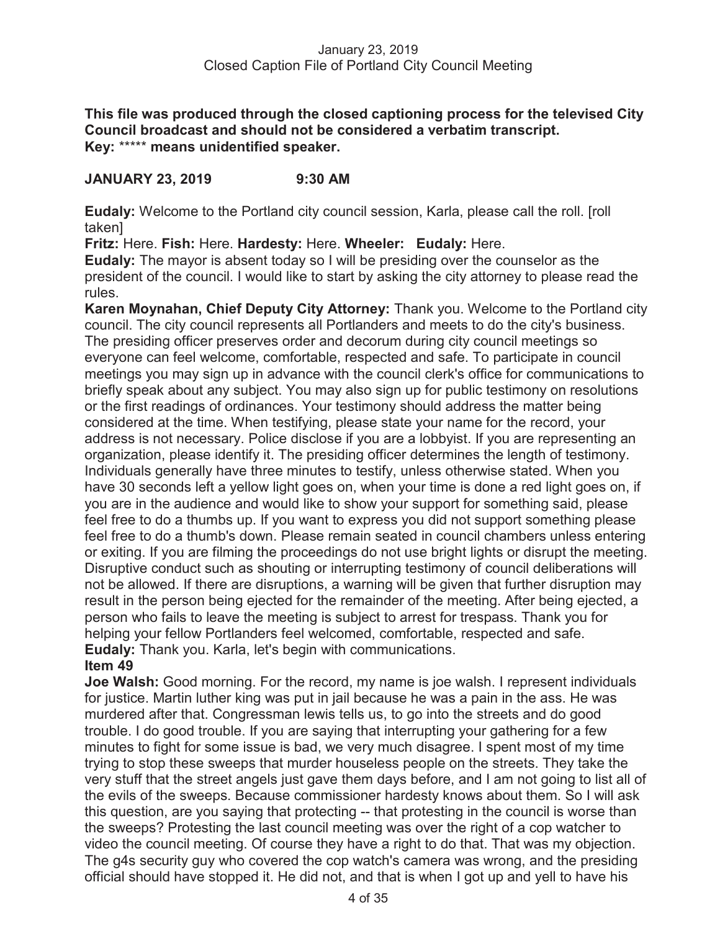**This file was produced through the closed captioning process for the televised City Council broadcast and should not be considered a verbatim transcript. Key:** \*\*\*\*\* **means unidentified speaker.** 

## **JANUARY 23, 2019 9:30 AM**

**Eudaly:** Welcome to the Portland city council session, Karla, please call the roll. [roll taken]

**Fritz:** Here. **Fish:** Here. **Hardesty:** Here. **Wheeler: Eudaly:** Here.

**Eudaly:** The mayor is absent today so I will be presiding over the counselor as the president of the council. I would like to start by asking the city attorney to please read the rules.

**Karen Moynahan, Chief Deputy City Attorney:** Thank you. Welcome to the Portland city council. The city council represents all Portlanders and meets to do the city's business. The presiding officer preserves order and decorum during city council meetings so everyone can feel welcome, comfortable, respected and safe. To participate in council meetings you may sign up in advance with the council clerk's office for communications to briefly speak about any subject. You may also sign up for public testimony on resolutions or the first readings of ordinances. Your testimony should address the matter being considered at the time. When testifying, please state your name for the record, your address is not necessary. Police disclose if you are a lobbyist. If you are representing an organization, please identify it. The presiding officer determines the length of testimony. Individuals generally have three minutes to testify, unless otherwise stated. When you have 30 seconds left a yellow light goes on, when your time is done a red light goes on, if you are in the audience and would like to show your support for something said, please feel free to do a thumbs up. If you want to express you did not support something please feel free to do a thumb's down. Please remain seated in council chambers unless entering or exiting. If you are filming the proceedings do not use bright lights or disrupt the meeting. Disruptive conduct such as shouting or interrupting testimony of council deliberations will not be allowed. If there are disruptions, a warning will be given that further disruption may result in the person being ejected for the remainder of the meeting. After being ejected, a person who fails to leave the meeting is subject to arrest for trespass. Thank you for helping your fellow Portlanders feel welcomed, comfortable, respected and safe. **Eudaly:** Thank you. Karla, let's begin with communications.

## **Item 49**

**Joe Walsh:** Good morning. For the record, my name is joe walsh. I represent individuals for justice. Martin luther king was put in jail because he was a pain in the ass. He was murdered after that. Congressman lewis tells us, to go into the streets and do good trouble. I do good trouble. If you are saying that interrupting your gathering for a few minutes to fight for some issue is bad, we very much disagree. I spent most of my time trying to stop these sweeps that murder houseless people on the streets. They take the very stuff that the street angels just gave them days before, and I am not going to list all of the evils of the sweeps. Because commissioner hardesty knows about them. So I will ask this question, are you saying that protecting -- that protesting in the council is worse than the sweeps? Protesting the last council meeting was over the right of a cop watcher to video the council meeting. Of course they have a right to do that. That was my objection. The g4s security guy who covered the cop watch's camera was wrong, and the presiding official should have stopped it. He did not, and that is when I got up and yell to have his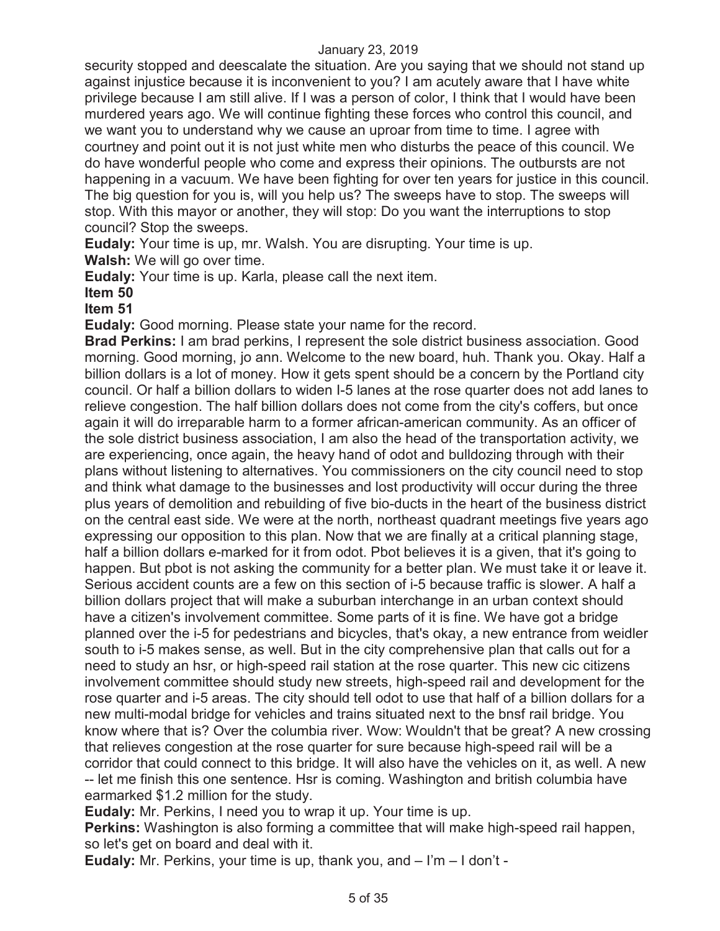security stopped and deescalate the situation. Are you saying that we should not stand up against injustice because it is inconvenient to you? I am acutely aware that I have white privilege because I am still alive. If I was a person of color, I think that I would have been murdered years ago. We will continue fighting these forces who control this council, and we want you to understand why we cause an uproar from time to time. I agree with courtney and point out it is not just white men who disturbs the peace of this council. We do have wonderful people who come and express their opinions. The outbursts are not happening in a vacuum. We have been fighting for over ten years for justice in this council. The big question for you is, will you help us? The sweeps have to stop. The sweeps will stop. With this mayor or another, they will stop: Do you want the interruptions to stop council? Stop the sweeps.

**Eudaly:** Your time is up, mr. Walsh. You are disrupting. Your time is up. **Walsh:** We will go over time.

**Eudaly:** Your time is up. Karla, please call the next item.

**Item 50** 

**Item 51** 

**Eudaly:** Good morning. Please state your name for the record.

**Brad Perkins:** I am brad perkins, I represent the sole district business association. Good morning. Good morning, jo ann. Welcome to the new board, huh. Thank you. Okay. Half a billion dollars is a lot of money. How it gets spent should be a concern by the Portland city council. Or half a billion dollars to widen I-5 lanes at the rose quarter does not add lanes to relieve congestion. The half billion dollars does not come from the city's coffers, but once again it will do irreparable harm to a former african-american community. As an officer of the sole district business association, I am also the head of the transportation activity, we are experiencing, once again, the heavy hand of odot and bulldozing through with their plans without listening to alternatives. You commissioners on the city council need to stop and think what damage to the businesses and lost productivity will occur during the three plus years of demolition and rebuilding of five bio-ducts in the heart of the business district on the central east side. We were at the north, northeast quadrant meetings five years ago expressing our opposition to this plan. Now that we are finally at a critical planning stage, half a billion dollars e-marked for it from odot. Pbot believes it is a given, that it's going to happen. But pbot is not asking the community for a better plan. We must take it or leave it. Serious accident counts are a few on this section of i-5 because traffic is slower. A half a billion dollars project that will make a suburban interchange in an urban context should have a citizen's involvement committee. Some parts of it is fine. We have got a bridge planned over the i-5 for pedestrians and bicycles, that's okay, a new entrance from weidler south to i-5 makes sense, as well. But in the city comprehensive plan that calls out for a need to study an hsr, or high-speed rail station at the rose quarter. This new cic citizens involvement committee should study new streets, high-speed rail and development for the rose quarter and i-5 areas. The city should tell odot to use that half of a billion dollars for a new multi-modal bridge for vehicles and trains situated next to the bnsf rail bridge. You know where that is? Over the columbia river. Wow: Wouldn't that be great? A new crossing that relieves congestion at the rose quarter for sure because high-speed rail will be a corridor that could connect to this bridge. It will also have the vehicles on it, as well. A new -- let me finish this one sentence. Hsr is coming. Washington and british columbia have earmarked \$1.2 million for the study.

**Eudaly:** Mr. Perkins, I need you to wrap it up. Your time is up.

**Perkins:** Washington is also forming a committee that will make high-speed rail happen, so let's get on board and deal with it.

**Eudaly:** Mr. Perkins, your time is up, thank you, and – I'm – I don't -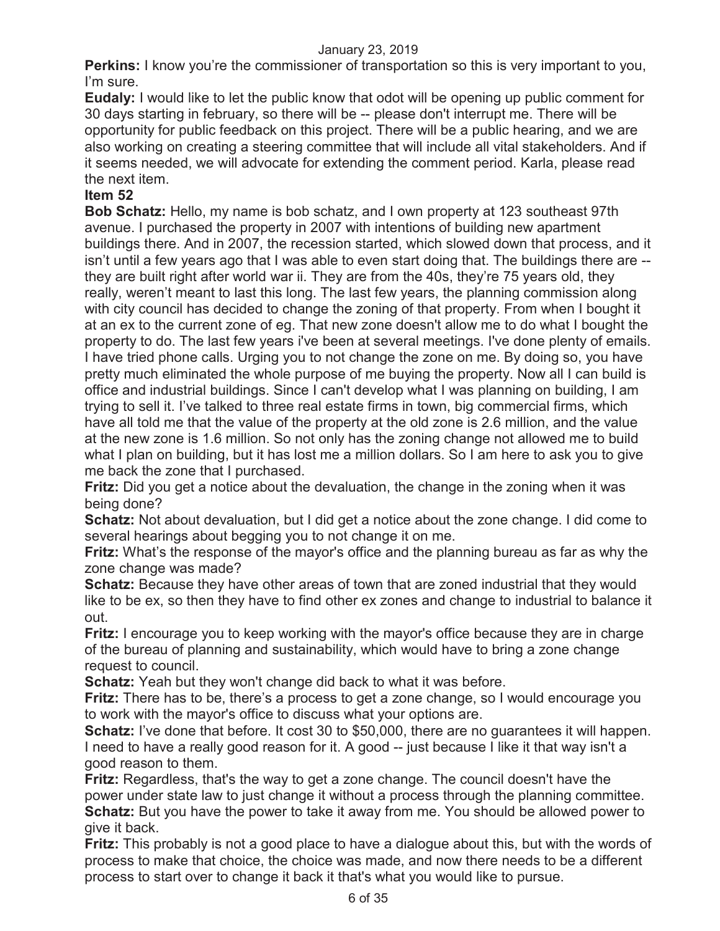**Perkins:** I know you're the commissioner of transportation so this is very important to you, I'm sure.

**Eudaly:** I would like to let the public know that odot will be opening up public comment for 30 days starting in february, so there will be -- please don't interrupt me. There will be opportunity for public feedback on this project. There will be a public hearing, and we are also working on creating a steering committee that will include all vital stakeholders. And if it seems needed, we will advocate for extending the comment period. Karla, please read the next item.

## **Item 52**

**Bob Schatz:** Hello, my name is bob schatz, and I own property at 123 southeast 97th avenue. I purchased the property in 2007 with intentions of building new apartment buildings there. And in 2007, the recession started, which slowed down that process, and it isn't until a few years ago that I was able to even start doing that. The buildings there are - they are built right after world war ii. They are from the 40s, they're 75 years old, they really, weren't meant to last this long. The last few years, the planning commission along with city council has decided to change the zoning of that property. From when I bought it at an ex to the current zone of eg. That new zone doesn't allow me to do what I bought the property to do. The last few years i've been at several meetings. I've done plenty of emails. I have tried phone calls. Urging you to not change the zone on me. By doing so, you have pretty much eliminated the whole purpose of me buying the property. Now all I can build is office and industrial buildings. Since I can't develop what I was planning on building, I am trying to sell it. I've talked to three real estate firms in town, big commercial firms, which have all told me that the value of the property at the old zone is 2.6 million, and the value at the new zone is 1.6 million. So not only has the zoning change not allowed me to build what I plan on building, but it has lost me a million dollars. So I am here to ask you to give me back the zone that I purchased.

**Fritz:** Did you get a notice about the devaluation, the change in the zoning when it was being done?

**Schatz:** Not about devaluation, but I did get a notice about the zone change. I did come to several hearings about begging you to not change it on me.

**Fritz:** What's the response of the mayor's office and the planning bureau as far as why the zone change was made?

**Schatz:** Because they have other areas of town that are zoned industrial that they would like to be ex, so then they have to find other ex zones and change to industrial to balance it out.

**Fritz:** I encourage you to keep working with the mayor's office because they are in charge of the bureau of planning and sustainability, which would have to bring a zone change request to council.

**Schatz:** Yeah but they won't change did back to what it was before.

**Fritz:** There has to be, there's a process to get a zone change, so I would encourage you to work with the mayor's office to discuss what your options are.

**Schatz:** I've done that before. It cost 30 to \$50,000, there are no guarantees it will happen. I need to have a really good reason for it. A good -- just because I like it that way isn't a good reason to them.

**Fritz:** Regardless, that's the way to get a zone change. The council doesn't have the power under state law to just change it without a process through the planning committee. **Schatz:** But you have the power to take it away from me. You should be allowed power to give it back.

**Fritz:** This probably is not a good place to have a dialogue about this, but with the words of process to make that choice, the choice was made, and now there needs to be a different process to start over to change it back it that's what you would like to pursue.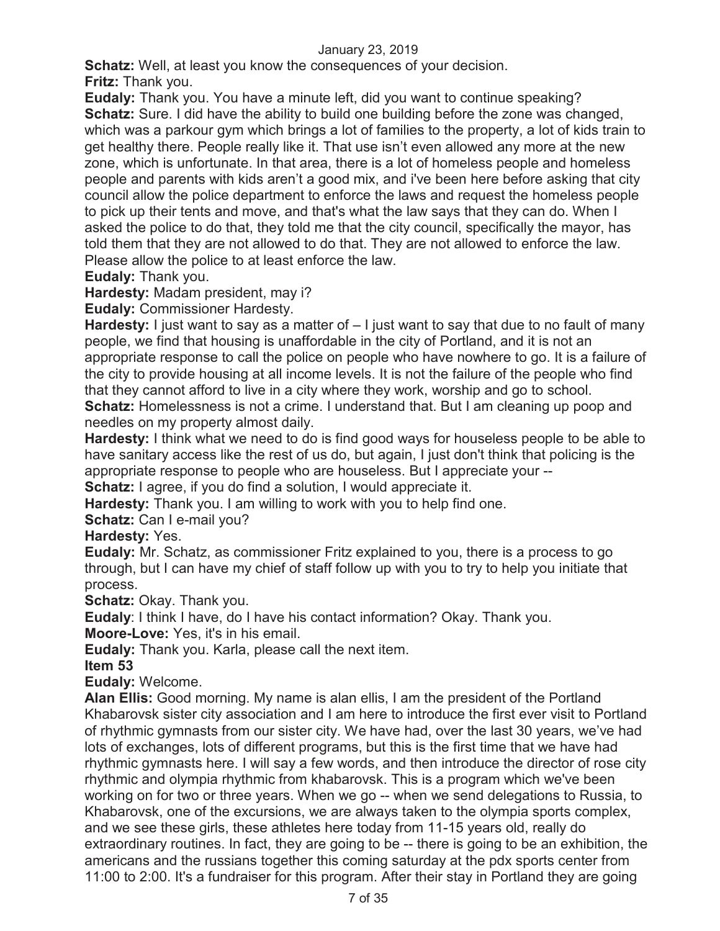**Schatz:** Well, at least you know the consequences of your decision. **Fritz:** Thank you.

**Eudaly:** Thank you. You have a minute left, did you want to continue speaking? **Schatz:** Sure. I did have the ability to build one building before the zone was changed, which was a parkour gym which brings a lot of families to the property, a lot of kids train to get healthy there. People really like it. That use isn't even allowed any more at the new zone, which is unfortunate. In that area, there is a lot of homeless people and homeless people and parents with kids aren't a good mix, and i've been here before asking that city council allow the police department to enforce the laws and request the homeless people to pick up their tents and move, and that's what the law says that they can do. When I asked the police to do that, they told me that the city council, specifically the mayor, has told them that they are not allowed to do that. They are not allowed to enforce the law. Please allow the police to at least enforce the law.

**Eudaly:** Thank you.

**Hardesty:** Madam president, may i?

**Eudaly:** Commissioner Hardesty.

**Hardesty:** I just want to say as a matter of  $-1$  just want to say that due to no fault of many people, we find that housing is unaffordable in the city of Portland, and it is not an appropriate response to call the police on people who have nowhere to go. It is a failure of the city to provide housing at all income levels. It is not the failure of the people who find that they cannot afford to live in a city where they work, worship and go to school. **Schatz:** Homelessness is not a crime. I understand that. But I am cleaning up poop and needles on my property almost daily.

**Hardesty:** I think what we need to do is find good ways for houseless people to be able to have sanitary access like the rest of us do, but again, I just don't think that policing is the appropriate response to people who are houseless. But I appreciate your --

**Schatz:** I agree, if you do find a solution, I would appreciate it.

**Hardesty:** Thank you. I am willing to work with you to help find one.

**Schatz:** Can I e-mail you?

#### **Hardesty:** Yes.

**Eudaly:** Mr. Schatz, as commissioner Fritz explained to you, there is a process to go through, but I can have my chief of staff follow up with you to try to help you initiate that process.

**Schatz:** Okay. Thank you.

**Eudaly**: I think I have, do I have his contact information? Okay. Thank you.

**Moore-Love:** Yes, it's in his email.

**Eudaly:** Thank you. Karla, please call the next item.

**Item 53** 

**Eudaly:** Welcome.

**Alan Ellis:** Good morning. My name is alan ellis, I am the president of the Portland Khabarovsk sister city association and I am here to introduce the first ever visit to Portland of rhythmic gymnasts from our sister city. We have had, over the last 30 years, we've had lots of exchanges, lots of different programs, but this is the first time that we have had rhythmic gymnasts here. I will say a few words, and then introduce the director of rose city rhythmic and olympia rhythmic from khabarovsk. This is a program which we've been working on for two or three years. When we go -- when we send delegations to Russia, to Khabarovsk, one of the excursions, we are always taken to the olympia sports complex, and we see these girls, these athletes here today from 11-15 years old, really do extraordinary routines. In fact, they are going to be -- there is going to be an exhibition, the americans and the russians together this coming saturday at the pdx sports center from 11:00 to 2:00. It's a fundraiser for this program. After their stay in Portland they are going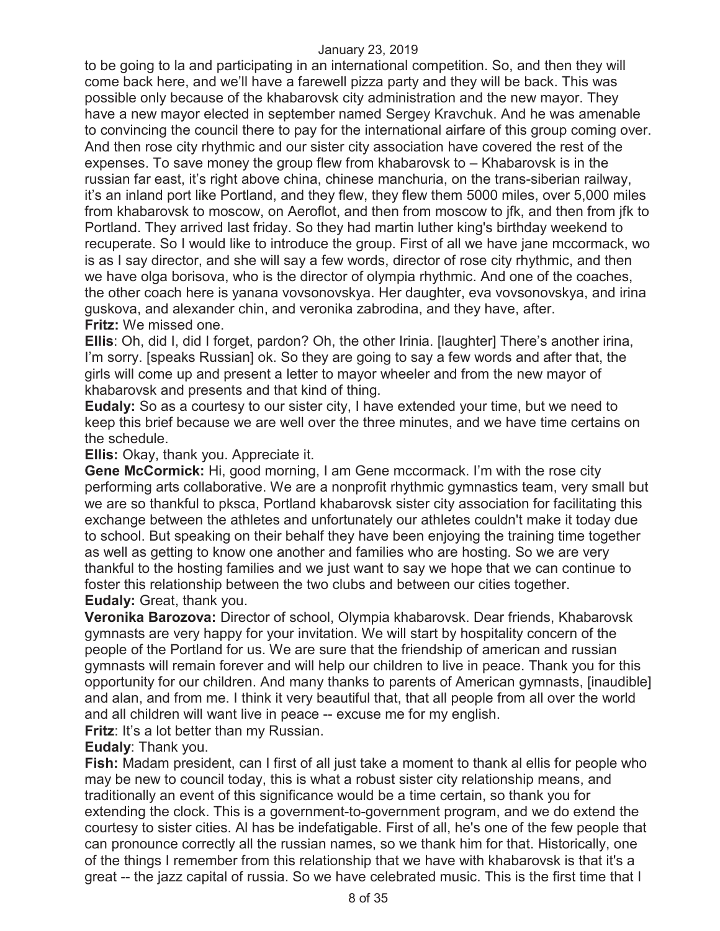to be going to la and participating in an international competition. So, and then they will come back here, and we'll have a farewell pizza party and they will be back. This was possible only because of the khabarovsk city administration and the new mayor. They have a new mayor elected in september named Sergey Kravchuk. And he was amenable to convincing the council there to pay for the international airfare of this group coming over. And then rose city rhythmic and our sister city association have covered the rest of the expenses. To save money the group flew from khabarovsk to – Khabarovsk is in the russian far east, it's right above china, chinese manchuria, on the trans-siberian railway, it's an inland port like Portland, and they flew, they flew them 5000 miles, over 5,000 miles from khabarovsk to moscow, on Aeroflot, and then from moscow to jfk, and then from jfk to Portland. They arrived last friday. So they had martin luther king's birthday weekend to recuperate. So I would like to introduce the group. First of all we have jane mccormack, wo is as I say director, and she will say a few words, director of rose city rhythmic, and then we have olga borisova, who is the director of olympia rhythmic. And one of the coaches, the other coach here is yanana vovsonovskya. Her daughter, eva vovsonovskya, and irina guskova, and alexander chin, and veronika zabrodina, and they have, after. **Fritz:** We missed one.

**Ellis**: Oh, did I, did I forget, pardon? Oh, the other Irinia. [laughter] There's another irina, I'm sorry. [speaks Russian] ok. So they are going to say a few words and after that, the girls will come up and present a letter to mayor wheeler and from the new mayor of khabarovsk and presents and that kind of thing.

**Eudaly:** So as a courtesy to our sister city, I have extended your time, but we need to keep this brief because we are well over the three minutes, and we have time certains on the schedule.

**Ellis:** Okay, thank you. Appreciate it.

**Gene McCormick:** Hi, good morning, I am Gene mccormack. I'm with the rose city performing arts collaborative. We are a nonprofit rhythmic gymnastics team, very small but we are so thankful to pksca, Portland khabarovsk sister city association for facilitating this exchange between the athletes and unfortunately our athletes couldn't make it today due to school. But speaking on their behalf they have been enjoying the training time together as well as getting to know one another and families who are hosting. So we are very thankful to the hosting families and we just want to say we hope that we can continue to foster this relationship between the two clubs and between our cities together. **Eudaly:** Great, thank you.

**Veronika Barozova:** Director of school, Olympia khabarovsk. Dear friends, Khabarovsk gymnasts are very happy for your invitation. We will start by hospitality concern of the people of the Portland for us. We are sure that the friendship of american and russian gymnasts will remain forever and will help our children to live in peace. Thank you for this opportunity for our children. And many thanks to parents of American gymnasts, [inaudible] and alan, and from me. I think it very beautiful that, that all people from all over the world and all children will want live in peace -- excuse me for my english.

**Fritz**: It's a lot better than my Russian.

**Eudaly**: Thank you.

**Fish:** Madam president, can I first of all just take a moment to thank al ellis for people who may be new to council today, this is what a robust sister city relationship means, and traditionally an event of this significance would be a time certain, so thank you for extending the clock. This is a government-to-government program, and we do extend the courtesy to sister cities. Al has be indefatigable. First of all, he's one of the few people that can pronounce correctly all the russian names, so we thank him for that. Historically, one of the things I remember from this relationship that we have with khabarovsk is that it's a great -- the jazz capital of russia. So we have celebrated music. This is the first time that I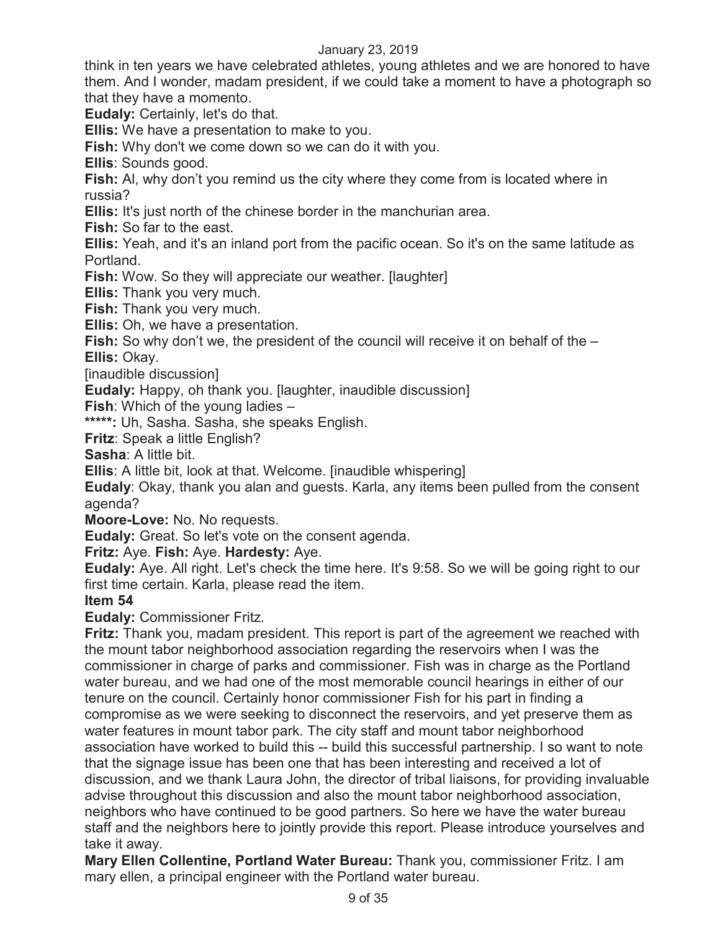think in ten years we have celebrated athletes, young athletes and we are honored to have them. And I wonder, madam president, if we could take a moment to have a photograph so that they have a momento.

**Eudaly:** Certainly, let's do that.

**Ellis:** We have a presentation to make to you.

**Fish:** Why don't we come down so we can do it with you.

**Ellis**: Sounds good.

**Fish:** Al, why don't you remind us the city where they come from is located where in russia?

**Ellis:** It's just north of the chinese border in the manchurian area.

**Fish:** So far to the east.

**Ellis:** Yeah, and it's an inland port from the pacific ocean. So it's on the same latitude as Portland.

**Fish:** Wow. So they will appreciate our weather. [laughter]

**Ellis:** Thank you very much.

**Fish:** Thank you very much.

**Ellis:** Oh, we have a presentation.

**Fish:** So why don't we, the president of the council will receive it on behalf of the –

**Ellis:** Okay.

[inaudible discussion]

**Eudaly:** Happy, oh thank you. [laughter, inaudible discussion]

**Fish**: Which of the young ladies –

**\*\*\*\*\*:** Uh, Sasha. Sasha, she speaks English.

**Fritz**: Speak a little English?

**Sasha**: A little bit.

**Ellis**: A little bit, look at that. Welcome. [inaudible whispering]

**Eudaly**: Okay, thank you alan and guests. Karla, any items been pulled from the consent agenda?

**Moore-Love:** No. No requests.

**Eudaly:** Great. So let's vote on the consent agenda.

**Fritz:** Aye. **Fish:** Aye. **Hardesty:** Aye.

**Eudaly:** Aye. All right. Let's check the time here. It's 9:58. So we will be going right to our first time certain. Karla, please read the item.

## **Item 54**

**Eudaly:** Commissioner Fritz.

**Fritz:** Thank you, madam president. This report is part of the agreement we reached with the mount tabor neighborhood association regarding the reservoirs when I was the commissioner in charge of parks and commissioner. Fish was in charge as the Portland water bureau, and we had one of the most memorable council hearings in either of our tenure on the council. Certainly honor commissioner Fish for his part in finding a compromise as we were seeking to disconnect the reservoirs, and yet preserve them as water features in mount tabor park. The city staff and mount tabor neighborhood association have worked to build this -- build this successful partnership. I so want to note that the signage issue has been one that has been interesting and received a lot of discussion, and we thank Laura John, the director of tribal liaisons, for providing invaluable advise throughout this discussion and also the mount tabor neighborhood association, neighbors who have continued to be good partners. So here we have the water bureau staff and the neighbors here to jointly provide this report. Please introduce yourselves and take it away.

**Mary Ellen Collentine, Portland Water Bureau:** Thank you, commissioner Fritz. I am mary ellen, a principal engineer with the Portland water bureau.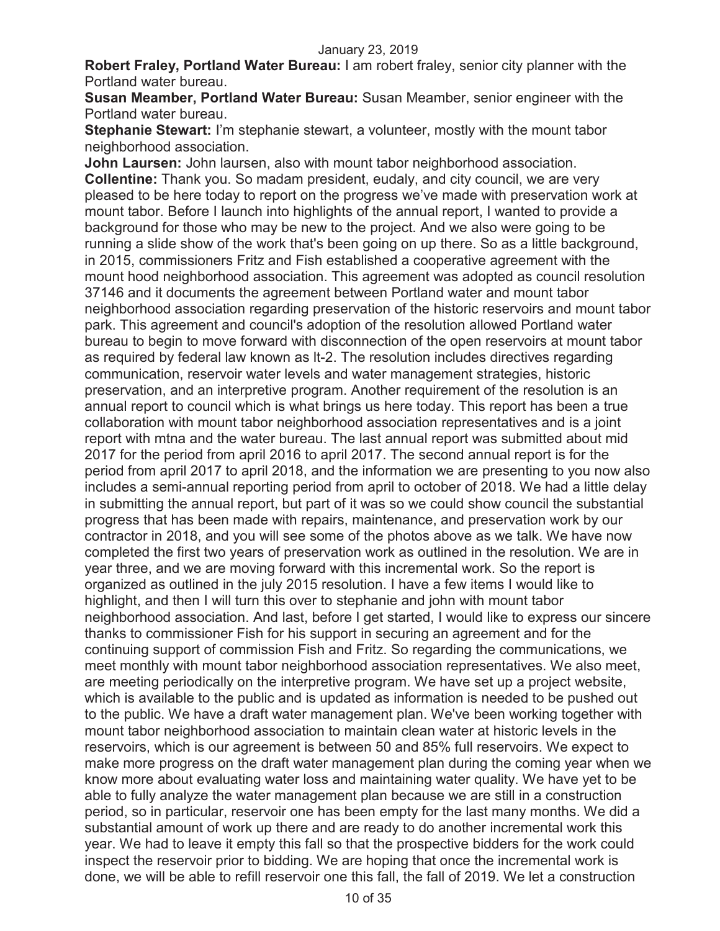**Robert Fraley, Portland Water Bureau:** I am robert fraley, senior city planner with the Portland water bureau.

**Susan Meamber, Portland Water Bureau:** Susan Meamber, senior engineer with the Portland water bureau.

**Stephanie Stewart:** I'm stephanie stewart, a volunteer, mostly with the mount tabor neighborhood association.

**John Laursen:** John laursen, also with mount tabor neighborhood association. **Collentine:** Thank you. So madam president, eudaly, and city council, we are very pleased to be here today to report on the progress we've made with preservation work at mount tabor. Before I launch into highlights of the annual report, I wanted to provide a background for those who may be new to the project. And we also were going to be running a slide show of the work that's been going on up there. So as a little background, in 2015, commissioners Fritz and Fish established a cooperative agreement with the mount hood neighborhood association. This agreement was adopted as council resolution 37146 and it documents the agreement between Portland water and mount tabor neighborhood association regarding preservation of the historic reservoirs and mount tabor park. This agreement and council's adoption of the resolution allowed Portland water bureau to begin to move forward with disconnection of the open reservoirs at mount tabor as required by federal law known as lt-2. The resolution includes directives regarding communication, reservoir water levels and water management strategies, historic preservation, and an interpretive program. Another requirement of the resolution is an annual report to council which is what brings us here today. This report has been a true collaboration with mount tabor neighborhood association representatives and is a joint report with mtna and the water bureau. The last annual report was submitted about mid 2017 for the period from april 2016 to april 2017. The second annual report is for the period from april 2017 to april 2018, and the information we are presenting to you now also includes a semi-annual reporting period from april to october of 2018. We had a little delay in submitting the annual report, but part of it was so we could show council the substantial progress that has been made with repairs, maintenance, and preservation work by our contractor in 2018, and you will see some of the photos above as we talk. We have now completed the first two years of preservation work as outlined in the resolution. We are in year three, and we are moving forward with this incremental work. So the report is organized as outlined in the july 2015 resolution. I have a few items I would like to highlight, and then I will turn this over to stephanie and john with mount tabor neighborhood association. And last, before I get started, I would like to express our sincere thanks to commissioner Fish for his support in securing an agreement and for the continuing support of commission Fish and Fritz. So regarding the communications, we meet monthly with mount tabor neighborhood association representatives. We also meet, are meeting periodically on the interpretive program. We have set up a project website, which is available to the public and is updated as information is needed to be pushed out to the public. We have a draft water management plan. We've been working together with mount tabor neighborhood association to maintain clean water at historic levels in the reservoirs, which is our agreement is between 50 and 85% full reservoirs. We expect to make more progress on the draft water management plan during the coming year when we know more about evaluating water loss and maintaining water quality. We have yet to be able to fully analyze the water management plan because we are still in a construction period, so in particular, reservoir one has been empty for the last many months. We did a substantial amount of work up there and are ready to do another incremental work this year. We had to leave it empty this fall so that the prospective bidders for the work could inspect the reservoir prior to bidding. We are hoping that once the incremental work is done, we will be able to refill reservoir one this fall, the fall of 2019. We let a construction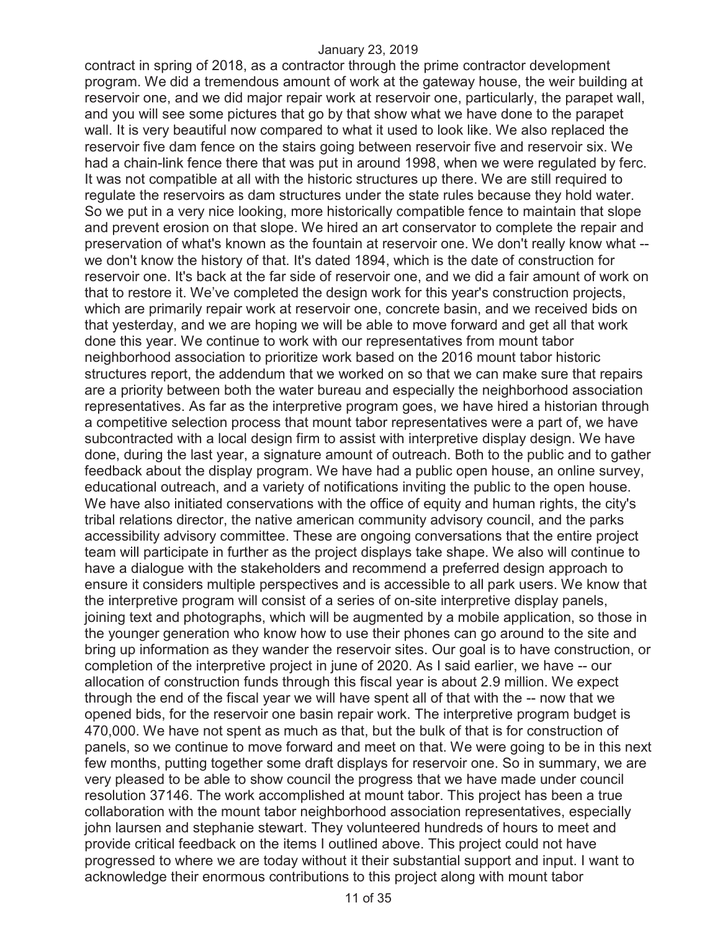contract in spring of 2018, as a contractor through the prime contractor development program. We did a tremendous amount of work at the gateway house, the weir building at reservoir one, and we did major repair work at reservoir one, particularly, the parapet wall, and you will see some pictures that go by that show what we have done to the parapet wall. It is very beautiful now compared to what it used to look like. We also replaced the reservoir five dam fence on the stairs going between reservoir five and reservoir six. We had a chain-link fence there that was put in around 1998, when we were regulated by ferc. It was not compatible at all with the historic structures up there. We are still required to regulate the reservoirs as dam structures under the state rules because they hold water. So we put in a very nice looking, more historically compatible fence to maintain that slope and prevent erosion on that slope. We hired an art conservator to complete the repair and preservation of what's known as the fountain at reservoir one. We don't really know what - we don't know the history of that. It's dated 1894, which is the date of construction for reservoir one. It's back at the far side of reservoir one, and we did a fair amount of work on that to restore it. We've completed the design work for this year's construction projects, which are primarily repair work at reservoir one, concrete basin, and we received bids on that yesterday, and we are hoping we will be able to move forward and get all that work done this year. We continue to work with our representatives from mount tabor neighborhood association to prioritize work based on the 2016 mount tabor historic structures report, the addendum that we worked on so that we can make sure that repairs are a priority between both the water bureau and especially the neighborhood association representatives. As far as the interpretive program goes, we have hired a historian through a competitive selection process that mount tabor representatives were a part of, we have subcontracted with a local design firm to assist with interpretive display design. We have done, during the last year, a signature amount of outreach. Both to the public and to gather feedback about the display program. We have had a public open house, an online survey, educational outreach, and a variety of notifications inviting the public to the open house. We have also initiated conservations with the office of equity and human rights, the city's tribal relations director, the native american community advisory council, and the parks accessibility advisory committee. These are ongoing conversations that the entire project team will participate in further as the project displays take shape. We also will continue to have a dialogue with the stakeholders and recommend a preferred design approach to ensure it considers multiple perspectives and is accessible to all park users. We know that the interpretive program will consist of a series of on-site interpretive display panels, joining text and photographs, which will be augmented by a mobile application, so those in the younger generation who know how to use their phones can go around to the site and bring up information as they wander the reservoir sites. Our goal is to have construction, or completion of the interpretive project in june of 2020. As I said earlier, we have -- our allocation of construction funds through this fiscal year is about 2.9 million. We expect through the end of the fiscal year we will have spent all of that with the -- now that we opened bids, for the reservoir one basin repair work. The interpretive program budget is 470,000. We have not spent as much as that, but the bulk of that is for construction of panels, so we continue to move forward and meet on that. We were going to be in this next few months, putting together some draft displays for reservoir one. So in summary, we are very pleased to be able to show council the progress that we have made under council resolution 37146. The work accomplished at mount tabor. This project has been a true collaboration with the mount tabor neighborhood association representatives, especially john laursen and stephanie stewart. They volunteered hundreds of hours to meet and provide critical feedback on the items I outlined above. This project could not have progressed to where we are today without it their substantial support and input. I want to acknowledge their enormous contributions to this project along with mount tabor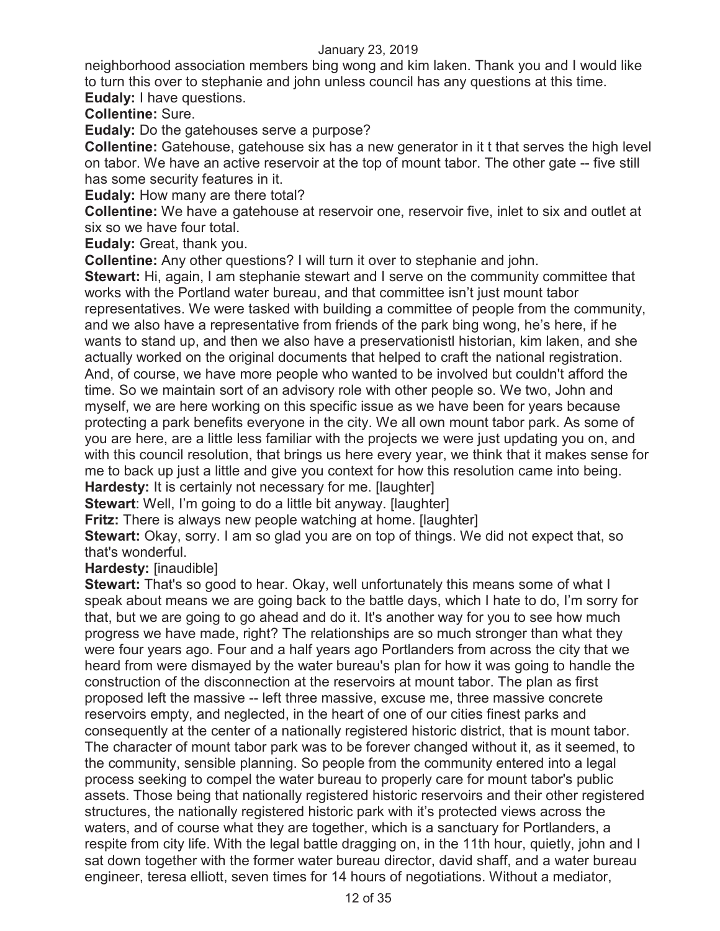neighborhood association members bing wong and kim laken. Thank you and I would like to turn this over to stephanie and john unless council has any questions at this time. **Eudaly:** I have questions.

**Collentine:** Sure.

**Eudaly:** Do the gatehouses serve a purpose?

**Collentine:** Gatehouse, gatehouse six has a new generator in it t that serves the high level on tabor. We have an active reservoir at the top of mount tabor. The other gate -- five still has some security features in it.

**Eudaly:** How many are there total?

**Collentine:** We have a gatehouse at reservoir one, reservoir five, inlet to six and outlet at six so we have four total.

**Eudaly:** Great, thank you.

**Collentine:** Any other questions? I will turn it over to stephanie and john.

**Stewart:** Hi, again, I am stephanie stewart and I serve on the community committee that works with the Portland water bureau, and that committee isn't just mount tabor representatives. We were tasked with building a committee of people from the community, and we also have a representative from friends of the park bing wong, he's here, if he wants to stand up, and then we also have a preservationistl historian, kim laken, and she actually worked on the original documents that helped to craft the national registration. And, of course, we have more people who wanted to be involved but couldn't afford the time. So we maintain sort of an advisory role with other people so. We two, John and myself, we are here working on this specific issue as we have been for years because protecting a park benefits everyone in the city. We all own mount tabor park. As some of you are here, are a little less familiar with the projects we were just updating you on, and with this council resolution, that brings us here every year, we think that it makes sense for me to back up just a little and give you context for how this resolution came into being. **Hardesty:** It is certainly not necessary for me. [laughter]

**Stewart**: Well, I'm going to do a little bit anyway. [laughter]

**Fritz:** There is always new people watching at home. [laughter]

**Stewart:** Okay, sorry. I am so glad you are on top of things. We did not expect that, so that's wonderful.

**Hardesty:** [inaudible]

**Stewart:** That's so good to hear. Okay, well unfortunately this means some of what I speak about means we are going back to the battle days, which I hate to do, I'm sorry for that, but we are going to go ahead and do it. It's another way for you to see how much progress we have made, right? The relationships are so much stronger than what they were four years ago. Four and a half years ago Portlanders from across the city that we heard from were dismayed by the water bureau's plan for how it was going to handle the construction of the disconnection at the reservoirs at mount tabor. The plan as first proposed left the massive -- left three massive, excuse me, three massive concrete reservoirs empty, and neglected, in the heart of one of our cities finest parks and consequently at the center of a nationally registered historic district, that is mount tabor. The character of mount tabor park was to be forever changed without it, as it seemed, to the community, sensible planning. So people from the community entered into a legal process seeking to compel the water bureau to properly care for mount tabor's public assets. Those being that nationally registered historic reservoirs and their other registered structures, the nationally registered historic park with it's protected views across the waters, and of course what they are together, which is a sanctuary for Portlanders, a respite from city life. With the legal battle dragging on, in the 11th hour, quietly, john and I sat down together with the former water bureau director, david shaff, and a water bureau engineer, teresa elliott, seven times for 14 hours of negotiations. Without a mediator,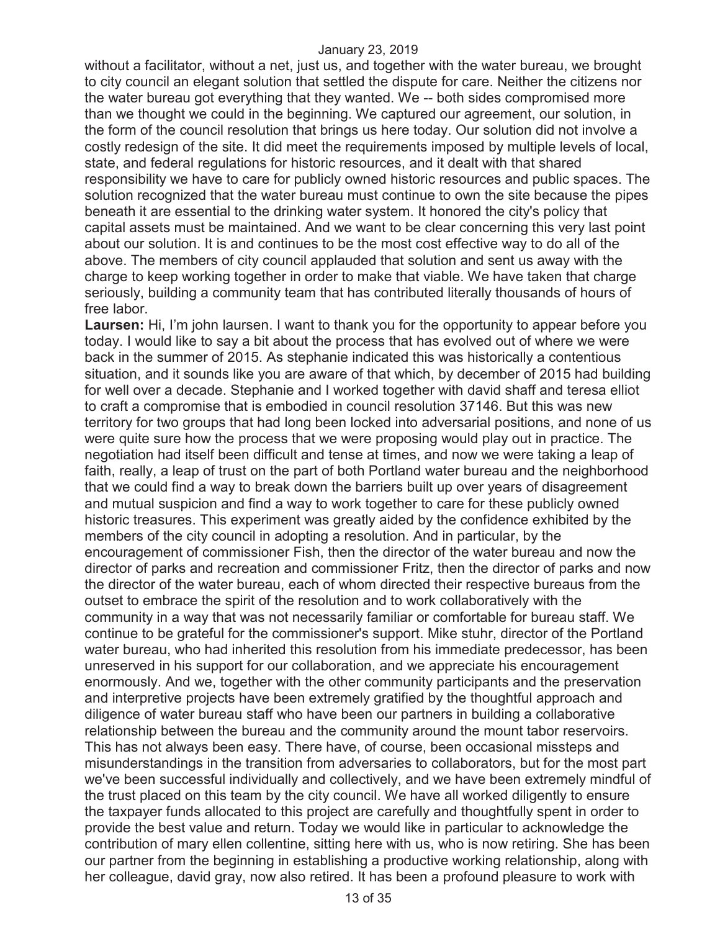without a facilitator, without a net, just us, and together with the water bureau, we brought to city council an elegant solution that settled the dispute for care. Neither the citizens nor the water bureau got everything that they wanted. We -- both sides compromised more than we thought we could in the beginning. We captured our agreement, our solution, in the form of the council resolution that brings us here today. Our solution did not involve a costly redesign of the site. It did meet the requirements imposed by multiple levels of local, state, and federal regulations for historic resources, and it dealt with that shared responsibility we have to care for publicly owned historic resources and public spaces. The solution recognized that the water bureau must continue to own the site because the pipes beneath it are essential to the drinking water system. It honored the city's policy that capital assets must be maintained. And we want to be clear concerning this very last point about our solution. It is and continues to be the most cost effective way to do all of the above. The members of city council applauded that solution and sent us away with the charge to keep working together in order to make that viable. We have taken that charge seriously, building a community team that has contributed literally thousands of hours of free labor.

**Laursen:** Hi, I'm john laursen. I want to thank you for the opportunity to appear before you today. I would like to say a bit about the process that has evolved out of where we were back in the summer of 2015. As stephanie indicated this was historically a contentious situation, and it sounds like you are aware of that which, by december of 2015 had building for well over a decade. Stephanie and I worked together with david shaff and teresa elliot to craft a compromise that is embodied in council resolution 37146. But this was new territory for two groups that had long been locked into adversarial positions, and none of us were quite sure how the process that we were proposing would play out in practice. The negotiation had itself been difficult and tense at times, and now we were taking a leap of faith, really, a leap of trust on the part of both Portland water bureau and the neighborhood that we could find a way to break down the barriers built up over years of disagreement and mutual suspicion and find a way to work together to care for these publicly owned historic treasures. This experiment was greatly aided by the confidence exhibited by the members of the city council in adopting a resolution. And in particular, by the encouragement of commissioner Fish, then the director of the water bureau and now the director of parks and recreation and commissioner Fritz, then the director of parks and now the director of the water bureau, each of whom directed their respective bureaus from the outset to embrace the spirit of the resolution and to work collaboratively with the community in a way that was not necessarily familiar or comfortable for bureau staff. We continue to be grateful for the commissioner's support. Mike stuhr, director of the Portland water bureau, who had inherited this resolution from his immediate predecessor, has been unreserved in his support for our collaboration, and we appreciate his encouragement enormously. And we, together with the other community participants and the preservation and interpretive projects have been extremely gratified by the thoughtful approach and diligence of water bureau staff who have been our partners in building a collaborative relationship between the bureau and the community around the mount tabor reservoirs. This has not always been easy. There have, of course, been occasional missteps and misunderstandings in the transition from adversaries to collaborators, but for the most part we've been successful individually and collectively, and we have been extremely mindful of the trust placed on this team by the city council. We have all worked diligently to ensure the taxpayer funds allocated to this project are carefully and thoughtfully spent in order to provide the best value and return. Today we would like in particular to acknowledge the contribution of mary ellen collentine, sitting here with us, who is now retiring. She has been our partner from the beginning in establishing a productive working relationship, along with her colleague, david gray, now also retired. It has been a profound pleasure to work with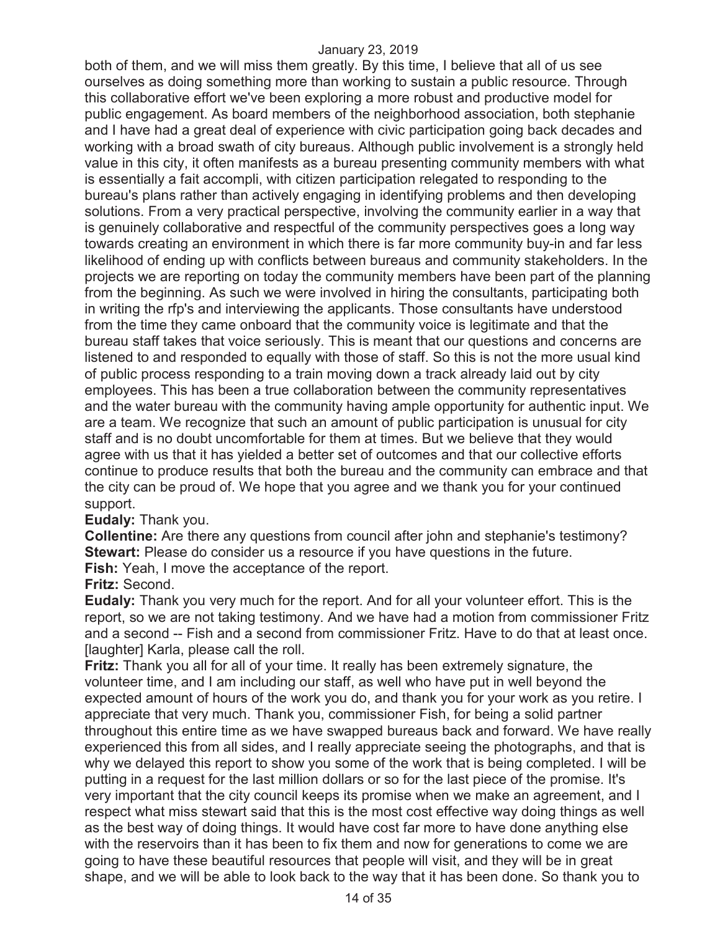both of them, and we will miss them greatly. By this time, I believe that all of us see ourselves as doing something more than working to sustain a public resource. Through this collaborative effort we've been exploring a more robust and productive model for public engagement. As board members of the neighborhood association, both stephanie and I have had a great deal of experience with civic participation going back decades and working with a broad swath of city bureaus. Although public involvement is a strongly held value in this city, it often manifests as a bureau presenting community members with what is essentially a fait accompli, with citizen participation relegated to responding to the bureau's plans rather than actively engaging in identifying problems and then developing solutions. From a very practical perspective, involving the community earlier in a way that is genuinely collaborative and respectful of the community perspectives goes a long way towards creating an environment in which there is far more community buy-in and far less likelihood of ending up with conflicts between bureaus and community stakeholders. In the projects we are reporting on today the community members have been part of the planning from the beginning. As such we were involved in hiring the consultants, participating both in writing the rfp's and interviewing the applicants. Those consultants have understood from the time they came onboard that the community voice is legitimate and that the bureau staff takes that voice seriously. This is meant that our questions and concerns are listened to and responded to equally with those of staff. So this is not the more usual kind of public process responding to a train moving down a track already laid out by city employees. This has been a true collaboration between the community representatives and the water bureau with the community having ample opportunity for authentic input. We are a team. We recognize that such an amount of public participation is unusual for city staff and is no doubt uncomfortable for them at times. But we believe that they would agree with us that it has yielded a better set of outcomes and that our collective efforts continue to produce results that both the bureau and the community can embrace and that the city can be proud of. We hope that you agree and we thank you for your continued support.

#### **Eudaly:** Thank you.

**Collentine:** Are there any questions from council after john and stephanie's testimony? **Stewart:** Please do consider us a resource if you have questions in the future. **Fish:** Yeah, I move the acceptance of the report.

## **Fritz:** Second.

**Eudaly:** Thank you very much for the report. And for all your volunteer effort. This is the report, so we are not taking testimony. And we have had a motion from commissioner Fritz and a second -- Fish and a second from commissioner Fritz. Have to do that at least once. [laughter] Karla, please call the roll.

**Fritz:** Thank you all for all of your time. It really has been extremely signature, the volunteer time, and I am including our staff, as well who have put in well beyond the expected amount of hours of the work you do, and thank you for your work as you retire. I appreciate that very much. Thank you, commissioner Fish, for being a solid partner throughout this entire time as we have swapped bureaus back and forward. We have really experienced this from all sides, and I really appreciate seeing the photographs, and that is why we delayed this report to show you some of the work that is being completed. I will be putting in a request for the last million dollars or so for the last piece of the promise. It's very important that the city council keeps its promise when we make an agreement, and I respect what miss stewart said that this is the most cost effective way doing things as well as the best way of doing things. It would have cost far more to have done anything else with the reservoirs than it has been to fix them and now for generations to come we are going to have these beautiful resources that people will visit, and they will be in great shape, and we will be able to look back to the way that it has been done. So thank you to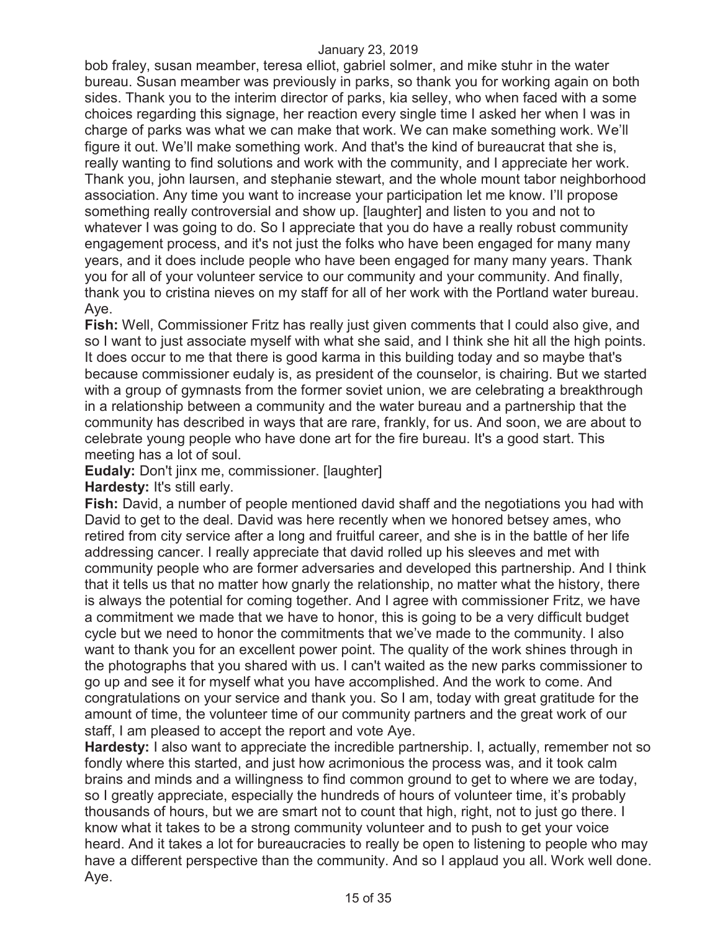bob fraley, susan meamber, teresa elliot, gabriel solmer, and mike stuhr in the water bureau. Susan meamber was previously in parks, so thank you for working again on both sides. Thank you to the interim director of parks, kia selley, who when faced with a some choices regarding this signage, her reaction every single time I asked her when I was in charge of parks was what we can make that work. We can make something work. We'll figure it out. We'll make something work. And that's the kind of bureaucrat that she is, really wanting to find solutions and work with the community, and I appreciate her work. Thank you, john laursen, and stephanie stewart, and the whole mount tabor neighborhood association. Any time you want to increase your participation let me know. I'll propose something really controversial and show up. [laughter] and listen to you and not to whatever I was going to do. So I appreciate that you do have a really robust community engagement process, and it's not just the folks who have been engaged for many many years, and it does include people who have been engaged for many many years. Thank you for all of your volunteer service to our community and your community. And finally, thank you to cristina nieves on my staff for all of her work with the Portland water bureau. Aye.

**Fish:** Well, Commissioner Fritz has really just given comments that I could also give, and so I want to just associate myself with what she said, and I think she hit all the high points. It does occur to me that there is good karma in this building today and so maybe that's because commissioner eudaly is, as president of the counselor, is chairing. But we started with a group of gymnasts from the former soviet union, we are celebrating a breakthrough in a relationship between a community and the water bureau and a partnership that the community has described in ways that are rare, frankly, for us. And soon, we are about to celebrate young people who have done art for the fire bureau. It's a good start. This meeting has a lot of soul.

**Eudaly:** Don't jinx me, commissioner. [laughter]

**Hardesty:** It's still early.

**Fish:** David, a number of people mentioned david shaff and the negotiations you had with David to get to the deal. David was here recently when we honored betsey ames, who retired from city service after a long and fruitful career, and she is in the battle of her life addressing cancer. I really appreciate that david rolled up his sleeves and met with community people who are former adversaries and developed this partnership. And I think that it tells us that no matter how gnarly the relationship, no matter what the history, there is always the potential for coming together. And I agree with commissioner Fritz, we have a commitment we made that we have to honor, this is going to be a very difficult budget cycle but we need to honor the commitments that we've made to the community. I also want to thank you for an excellent power point. The quality of the work shines through in the photographs that you shared with us. I can't waited as the new parks commissioner to go up and see it for myself what you have accomplished. And the work to come. And congratulations on your service and thank you. So I am, today with great gratitude for the amount of time, the volunteer time of our community partners and the great work of our staff, I am pleased to accept the report and vote Aye.

**Hardesty:** I also want to appreciate the incredible partnership. I, actually, remember not so fondly where this started, and just how acrimonious the process was, and it took calm brains and minds and a willingness to find common ground to get to where we are today, so I greatly appreciate, especially the hundreds of hours of volunteer time, it's probably thousands of hours, but we are smart not to count that high, right, not to just go there. I know what it takes to be a strong community volunteer and to push to get your voice heard. And it takes a lot for bureaucracies to really be open to listening to people who may have a different perspective than the community. And so I applaud you all. Work well done. Aye.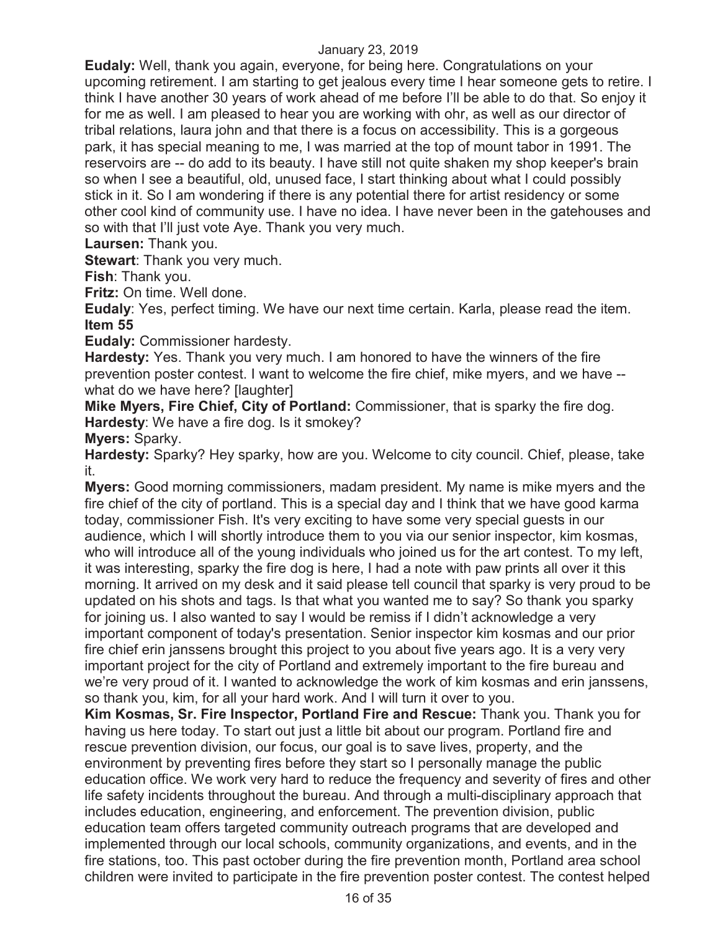**Eudaly:** Well, thank you again, everyone, for being here. Congratulations on your upcoming retirement. I am starting to get jealous every time I hear someone gets to retire. I think I have another 30 years of work ahead of me before I'll be able to do that. So enjoy it for me as well. I am pleased to hear you are working with ohr, as well as our director of tribal relations, laura john and that there is a focus on accessibility. This is a gorgeous park, it has special meaning to me, I was married at the top of mount tabor in 1991. The reservoirs are -- do add to its beauty. I have still not quite shaken my shop keeper's brain so when I see a beautiful, old, unused face, I start thinking about what I could possibly stick in it. So I am wondering if there is any potential there for artist residency or some other cool kind of community use. I have no idea. I have never been in the gatehouses and so with that I'll just vote Aye. Thank you very much.

**Laursen:** Thank you.

**Stewart**: Thank you very much.

**Fish**: Thank you.

**Fritz:** On time. Well done.

**Eudaly**: Yes, perfect timing. We have our next time certain. Karla, please read the item. **Item 55** 

**Eudaly:** Commissioner hardesty.

**Hardesty:** Yes. Thank you very much. I am honored to have the winners of the fire prevention poster contest. I want to welcome the fire chief, mike myers, and we have - what do we have here? Ilaughter

**Mike Myers, Fire Chief, City of Portland:** Commissioner, that is sparky the fire dog. **Hardesty**: We have a fire dog. Is it smokey?

**Myers:** Sparky.

**Hardesty:** Sparky? Hey sparky, how are you. Welcome to city council. Chief, please, take it.

**Myers:** Good morning commissioners, madam president. My name is mike myers and the fire chief of the city of portland. This is a special day and I think that we have good karma today, commissioner Fish. It's very exciting to have some very special guests in our audience, which I will shortly introduce them to you via our senior inspector, kim kosmas, who will introduce all of the young individuals who joined us for the art contest. To my left, it was interesting, sparky the fire dog is here, I had a note with paw prints all over it this morning. It arrived on my desk and it said please tell council that sparky is very proud to be updated on his shots and tags. Is that what you wanted me to say? So thank you sparky for joining us. I also wanted to say I would be remiss if I didn't acknowledge a very important component of today's presentation. Senior inspector kim kosmas and our prior fire chief erin janssens brought this project to you about five years ago. It is a very very important project for the city of Portland and extremely important to the fire bureau and we're very proud of it. I wanted to acknowledge the work of kim kosmas and erin janssens, so thank you, kim, for all your hard work. And I will turn it over to you.

**Kim Kosmas, Sr. Fire Inspector, Portland Fire and Rescue:** Thank you. Thank you for having us here today. To start out just a little bit about our program. Portland fire and rescue prevention division, our focus, our goal is to save lives, property, and the environment by preventing fires before they start so I personally manage the public education office. We work very hard to reduce the frequency and severity of fires and other life safety incidents throughout the bureau. And through a multi-disciplinary approach that includes education, engineering, and enforcement. The prevention division, public education team offers targeted community outreach programs that are developed and implemented through our local schools, community organizations, and events, and in the fire stations, too. This past october during the fire prevention month, Portland area school children were invited to participate in the fire prevention poster contest. The contest helped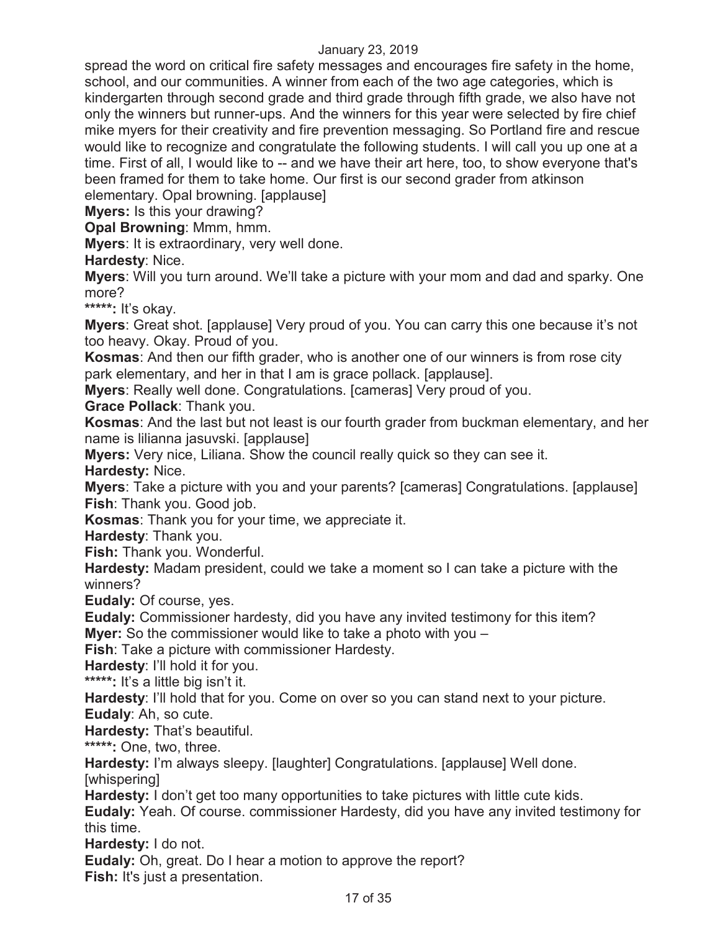spread the word on critical fire safety messages and encourages fire safety in the home, school, and our communities. A winner from each of the two age categories, which is kindergarten through second grade and third grade through fifth grade, we also have not only the winners but runner-ups. And the winners for this year were selected by fire chief mike myers for their creativity and fire prevention messaging. So Portland fire and rescue would like to recognize and congratulate the following students. I will call you up one at a time. First of all, I would like to -- and we have their art here, too, to show everyone that's been framed for them to take home. Our first is our second grader from atkinson elementary. Opal browning. [applause]

**Myers:** Is this your drawing?

**Opal Browning**: Mmm, hmm.

**Myers**: It is extraordinary, very well done.

**Hardesty**: Nice.

**Myers**: Will you turn around. We'll take a picture with your mom and dad and sparky. One more?

**\*\*\*\*\*:** It's okay.

**Myers**: Great shot. [applause] Very proud of you. You can carry this one because it's not too heavy. Okay. Proud of you.

**Kosmas**: And then our fifth grader, who is another one of our winners is from rose city park elementary, and her in that I am is grace pollack. [applause].

**Myers**: Really well done. Congratulations. [cameras] Very proud of you.

**Grace Pollack**: Thank you.

**Kosmas**: And the last but not least is our fourth grader from buckman elementary, and her name is lilianna jasuvski. [applause]

**Myers:** Very nice, Liliana. Show the council really quick so they can see it. **Hardesty:** Nice.

**Myers**: Take a picture with you and your parents? [cameras] Congratulations. [applause] **Fish**: Thank you. Good job.

**Kosmas**: Thank you for your time, we appreciate it.

**Hardesty**: Thank you.

**Fish:** Thank you. Wonderful.

**Hardesty:** Madam president, could we take a moment so I can take a picture with the winners?

**Eudaly:** Of course, yes.

**Eudaly:** Commissioner hardesty, did you have any invited testimony for this item? **Myer:** So the commissioner would like to take a photo with you –

**Fish**: Take a picture with commissioner Hardesty.

**Hardesty**: I'll hold it for you.

**\*\*\*\*\*:** It's a little big isn't it.

**Hardesty**: I'll hold that for you. Come on over so you can stand next to your picture.

**Eudaly**: Ah, so cute.

**Hardesty:** That's beautiful.

**\*\*\*\*\*:** One, two, three.

**Hardesty:** I'm always sleepy. [laughter] Congratulations. [applause] Well done. [whispering]

**Hardesty:** I don't get too many opportunities to take pictures with little cute kids.

**Eudaly:** Yeah. Of course. commissioner Hardesty, did you have any invited testimony for this time.

**Hardesty:** I do not.

**Eudaly:** Oh, great. Do I hear a motion to approve the report? **Fish:** It's just a presentation.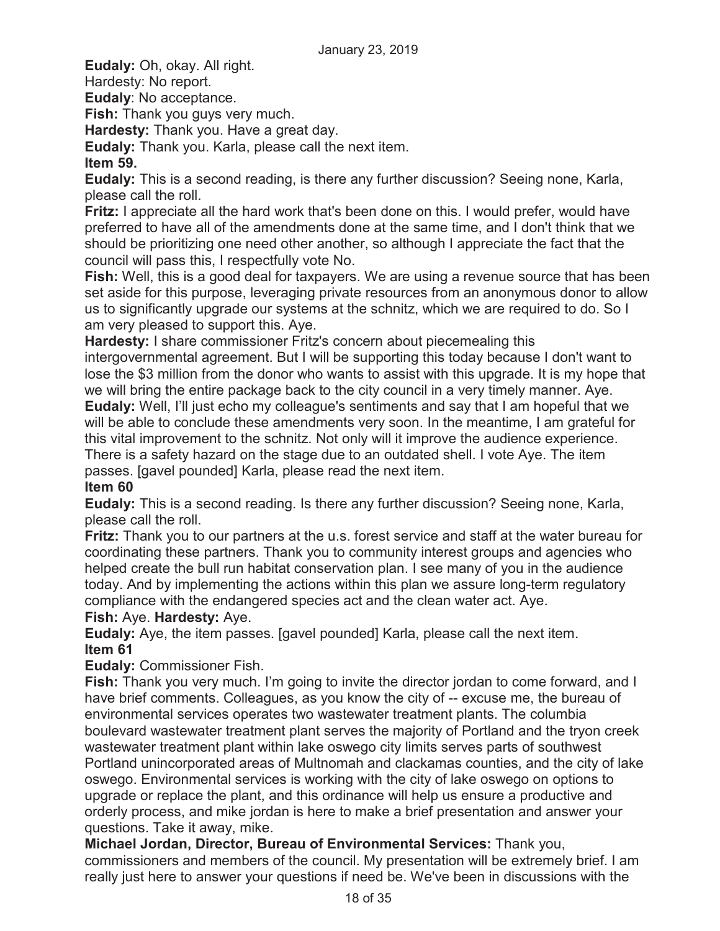**Eudaly:** Oh, okay. All right.

Hardesty: No report.

**Eudaly**: No acceptance.

**Fish:** Thank you guys very much.

**Hardesty:** Thank you. Have a great day.

**Eudaly:** Thank you. Karla, please call the next item.

## **Item 59.**

**Eudaly:** This is a second reading, is there any further discussion? Seeing none, Karla, please call the roll.

**Fritz:** I appreciate all the hard work that's been done on this. I would prefer, would have preferred to have all of the amendments done at the same time, and I don't think that we should be prioritizing one need other another, so although I appreciate the fact that the council will pass this, I respectfully vote No.

**Fish:** Well, this is a good deal for taxpayers. We are using a revenue source that has been set aside for this purpose, leveraging private resources from an anonymous donor to allow us to significantly upgrade our systems at the schnitz, which we are required to do. So I am very pleased to support this. Aye.

**Hardesty:** I share commissioner Fritz's concern about piecemealing this

intergovernmental agreement. But I will be supporting this today because I don't want to lose the \$3 million from the donor who wants to assist with this upgrade. It is my hope that we will bring the entire package back to the city council in a very timely manner. Aye. **Eudaly:** Well, I'll just echo my colleague's sentiments and say that I am hopeful that we will be able to conclude these amendments very soon. In the meantime, I am grateful for this vital improvement to the schnitz. Not only will it improve the audience experience. There is a safety hazard on the stage due to an outdated shell. I vote Aye. The item passes. [gavel pounded] Karla, please read the next item.

## **Item 60**

**Eudaly:** This is a second reading. Is there any further discussion? Seeing none, Karla, please call the roll.

**Fritz:** Thank you to our partners at the u.s. forest service and staff at the water bureau for coordinating these partners. Thank you to community interest groups and agencies who helped create the bull run habitat conservation plan. I see many of you in the audience today. And by implementing the actions within this plan we assure long-term regulatory compliance with the endangered species act and the clean water act. Aye.

## **Fish:** Aye. **Hardesty:** Aye.

**Eudaly:** Aye, the item passes. [gavel pounded] Karla, please call the next item. **Item 61** 

## **Eudaly:** Commissioner Fish.

**Fish:** Thank you very much. I'm going to invite the director jordan to come forward, and I have brief comments. Colleagues, as you know the city of -- excuse me, the bureau of environmental services operates two wastewater treatment plants. The columbia boulevard wastewater treatment plant serves the majority of Portland and the tryon creek wastewater treatment plant within lake oswego city limits serves parts of southwest Portland unincorporated areas of Multnomah and clackamas counties, and the city of lake oswego. Environmental services is working with the city of lake oswego on options to upgrade or replace the plant, and this ordinance will help us ensure a productive and orderly process, and mike jordan is here to make a brief presentation and answer your questions. Take it away, mike.

**Michael Jordan, Director, Bureau of Environmental Services:** Thank you, commissioners and members of the council. My presentation will be extremely brief. I am really just here to answer your questions if need be. We've been in discussions with the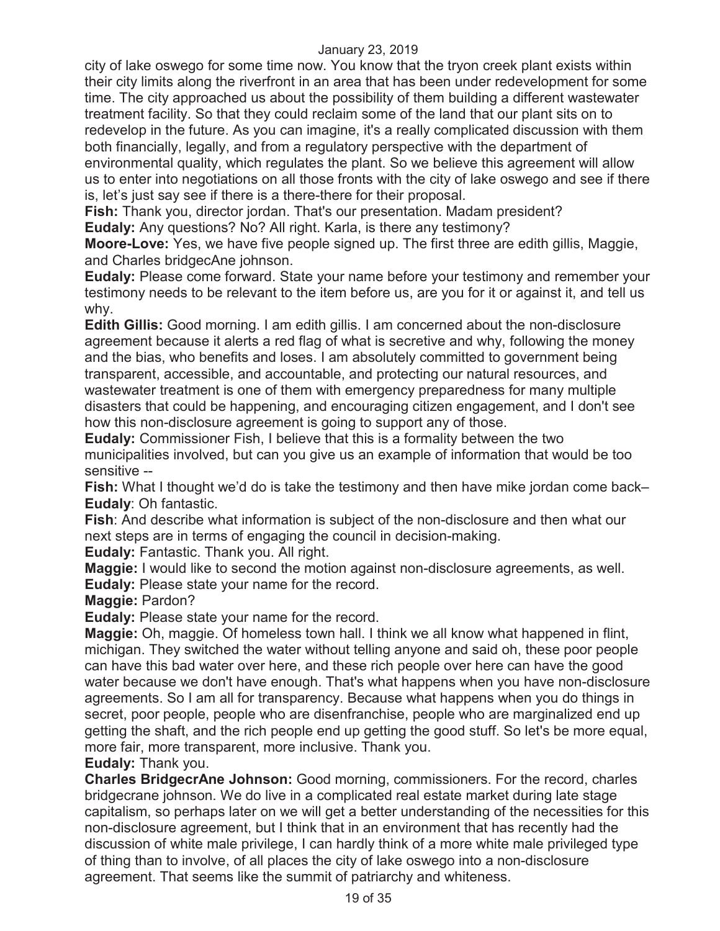city of lake oswego for some time now. You know that the tryon creek plant exists within their city limits along the riverfront in an area that has been under redevelopment for some time. The city approached us about the possibility of them building a different wastewater treatment facility. So that they could reclaim some of the land that our plant sits on to redevelop in the future. As you can imagine, it's a really complicated discussion with them both financially, legally, and from a regulatory perspective with the department of environmental quality, which regulates the plant. So we believe this agreement will allow us to enter into negotiations on all those fronts with the city of lake oswego and see if there is, let's just say see if there is a there-there for their proposal.

**Fish:** Thank you, director jordan. That's our presentation. Madam president? **Eudaly:** Any questions? No? All right. Karla, is there any testimony?

**Moore-Love:** Yes, we have five people signed up. The first three are edith gillis, Maggie, and Charles bridgecAne johnson.

**Eudaly:** Please come forward. State your name before your testimony and remember your testimony needs to be relevant to the item before us, are you for it or against it, and tell us why.

**Edith Gillis:** Good morning. I am edith gillis. I am concerned about the non-disclosure agreement because it alerts a red flag of what is secretive and why, following the money and the bias, who benefits and loses. I am absolutely committed to government being transparent, accessible, and accountable, and protecting our natural resources, and wastewater treatment is one of them with emergency preparedness for many multiple disasters that could be happening, and encouraging citizen engagement, and I don't see how this non-disclosure agreement is going to support any of those.

**Eudaly:** Commissioner Fish, I believe that this is a formality between the two municipalities involved, but can you give us an example of information that would be too sensitive --

**Fish:** What I thought we'd do is take the testimony and then have mike jordan come back– **Eudaly**: Oh fantastic.

**Fish**: And describe what information is subject of the non-disclosure and then what our next steps are in terms of engaging the council in decision-making.

**Eudaly:** Fantastic. Thank you. All right.

**Maggie:** I would like to second the motion against non-disclosure agreements, as well. **Eudaly:** Please state your name for the record.

**Maggie:** Pardon?

**Eudaly:** Please state your name for the record.

**Maggie:** Oh, maggie. Of homeless town hall. I think we all know what happened in flint, michigan. They switched the water without telling anyone and said oh, these poor people can have this bad water over here, and these rich people over here can have the good water because we don't have enough. That's what happens when you have non-disclosure agreements. So I am all for transparency. Because what happens when you do things in secret, poor people, people who are disenfranchise, people who are marginalized end up getting the shaft, and the rich people end up getting the good stuff. So let's be more equal, more fair, more transparent, more inclusive. Thank you.

**Eudaly:** Thank you.

**Charles BridgecrAne Johnson:** Good morning, commissioners. For the record, charles bridgecrane johnson. We do live in a complicated real estate market during late stage capitalism, so perhaps later on we will get a better understanding of the necessities for this non-disclosure agreement, but I think that in an environment that has recently had the discussion of white male privilege, I can hardly think of a more white male privileged type of thing than to involve, of all places the city of lake oswego into a non-disclosure agreement. That seems like the summit of patriarchy and whiteness.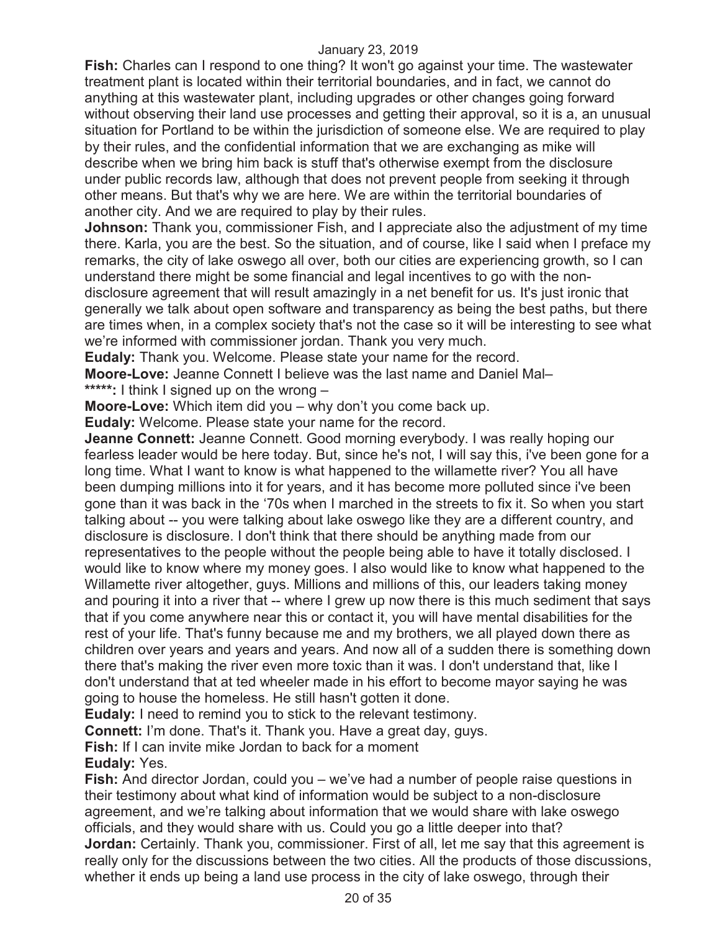**Fish:** Charles can I respond to one thing? It won't go against your time. The wastewater treatment plant is located within their territorial boundaries, and in fact, we cannot do anything at this wastewater plant, including upgrades or other changes going forward without observing their land use processes and getting their approval, so it is a, an unusual situation for Portland to be within the jurisdiction of someone else. We are required to play by their rules, and the confidential information that we are exchanging as mike will describe when we bring him back is stuff that's otherwise exempt from the disclosure under public records law, although that does not prevent people from seeking it through other means. But that's why we are here. We are within the territorial boundaries of another city. And we are required to play by their rules.

**Johnson:** Thank you, commissioner Fish, and I appreciate also the adjustment of my time there. Karla, you are the best. So the situation, and of course, like I said when I preface my remarks, the city of lake oswego all over, both our cities are experiencing growth, so I can understand there might be some financial and legal incentives to go with the nondisclosure agreement that will result amazingly in a net benefit for us. It's just ironic that generally we talk about open software and transparency as being the best paths, but there are times when, in a complex society that's not the case so it will be interesting to see what we're informed with commissioner jordan. Thank you very much.

**Eudaly:** Thank you. Welcome. Please state your name for the record.

**Moore-Love:** Jeanne Connett I believe was the last name and Daniel Mal– **\*\*\*\*\*:** I think I signed up on the wrong –

**Moore-Love:** Which item did you – why don't you come back up.

**Eudaly:** Welcome. Please state your name for the record.

**Jeanne Connett:** Jeanne Connett. Good morning everybody. I was really hoping our fearless leader would be here today. But, since he's not, I will say this, i've been gone for a long time. What I want to know is what happened to the willamette river? You all have been dumping millions into it for years, and it has become more polluted since i've been gone than it was back in the '70s when I marched in the streets to fix it. So when you start talking about -- you were talking about lake oswego like they are a different country, and disclosure is disclosure. I don't think that there should be anything made from our representatives to the people without the people being able to have it totally disclosed. I would like to know where my money goes. I also would like to know what happened to the Willamette river altogether, guys. Millions and millions of this, our leaders taking money and pouring it into a river that -- where I grew up now there is this much sediment that says that if you come anywhere near this or contact it, you will have mental disabilities for the rest of your life. That's funny because me and my brothers, we all played down there as children over years and years and years. And now all of a sudden there is something down there that's making the river even more toxic than it was. I don't understand that, like I don't understand that at ted wheeler made in his effort to become mayor saying he was going to house the homeless. He still hasn't gotten it done.

**Eudaly:** I need to remind you to stick to the relevant testimony.

**Connett:** I'm done. That's it. Thank you. Have a great day, guys.

**Fish:** If I can invite mike Jordan to back for a moment

**Eudaly:** Yes.

**Fish:** And director Jordan, could you – we've had a number of people raise questions in their testimony about what kind of information would be subject to a non-disclosure agreement, and we're talking about information that we would share with lake oswego officials, and they would share with us. Could you go a little deeper into that? **Jordan:** Certainly. Thank you, commissioner. First of all, let me say that this agreement is really only for the discussions between the two cities. All the products of those discussions, whether it ends up being a land use process in the city of lake oswego, through their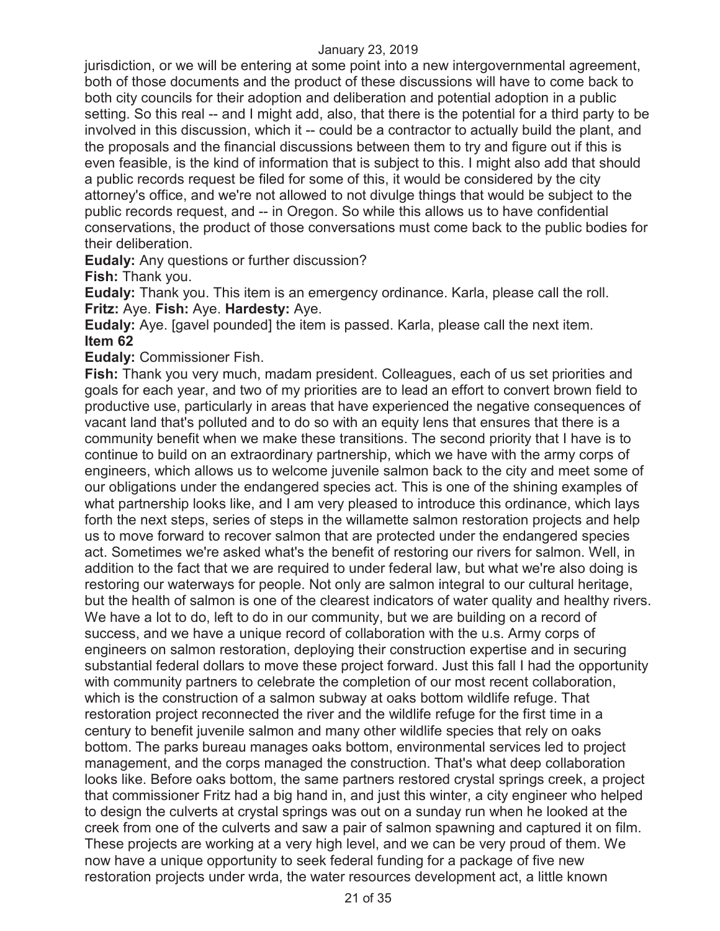jurisdiction, or we will be entering at some point into a new intergovernmental agreement, both of those documents and the product of these discussions will have to come back to both city councils for their adoption and deliberation and potential adoption in a public setting. So this real -- and I might add, also, that there is the potential for a third party to be involved in this discussion, which it -- could be a contractor to actually build the plant, and the proposals and the financial discussions between them to try and figure out if this is even feasible, is the kind of information that is subject to this. I might also add that should a public records request be filed for some of this, it would be considered by the city attorney's office, and we're not allowed to not divulge things that would be subject to the public records request, and -- in Oregon. So while this allows us to have confidential conservations, the product of those conversations must come back to the public bodies for their deliberation.

**Eudaly:** Any questions or further discussion?

**Fish:** Thank you.

**Eudaly:** Thank you. This item is an emergency ordinance. Karla, please call the roll. **Fritz:** Aye. **Fish:** Aye. **Hardesty:** Aye.

**Eudaly:** Aye. [gavel pounded] the item is passed. Karla, please call the next item. **Item 62**

**Eudaly:** Commissioner Fish.

**Fish:** Thank you very much, madam president. Colleagues, each of us set priorities and goals for each year, and two of my priorities are to lead an effort to convert brown field to productive use, particularly in areas that have experienced the negative consequences of vacant land that's polluted and to do so with an equity lens that ensures that there is a community benefit when we make these transitions. The second priority that I have is to continue to build on an extraordinary partnership, which we have with the army corps of engineers, which allows us to welcome juvenile salmon back to the city and meet some of our obligations under the endangered species act. This is one of the shining examples of what partnership looks like, and I am very pleased to introduce this ordinance, which lays forth the next steps, series of steps in the willamette salmon restoration projects and help us to move forward to recover salmon that are protected under the endangered species act. Sometimes we're asked what's the benefit of restoring our rivers for salmon. Well, in addition to the fact that we are required to under federal law, but what we're also doing is restoring our waterways for people. Not only are salmon integral to our cultural heritage, but the health of salmon is one of the clearest indicators of water quality and healthy rivers. We have a lot to do, left to do in our community, but we are building on a record of success, and we have a unique record of collaboration with the u.s. Army corps of engineers on salmon restoration, deploying their construction expertise and in securing substantial federal dollars to move these project forward. Just this fall I had the opportunity with community partners to celebrate the completion of our most recent collaboration, which is the construction of a salmon subway at oaks bottom wildlife refuge. That restoration project reconnected the river and the wildlife refuge for the first time in a century to benefit juvenile salmon and many other wildlife species that rely on oaks bottom. The parks bureau manages oaks bottom, environmental services led to project management, and the corps managed the construction. That's what deep collaboration looks like. Before oaks bottom, the same partners restored crystal springs creek, a project that commissioner Fritz had a big hand in, and just this winter, a city engineer who helped to design the culverts at crystal springs was out on a sunday run when he looked at the creek from one of the culverts and saw a pair of salmon spawning and captured it on film. These projects are working at a very high level, and we can be very proud of them. We now have a unique opportunity to seek federal funding for a package of five new restoration projects under wrda, the water resources development act, a little known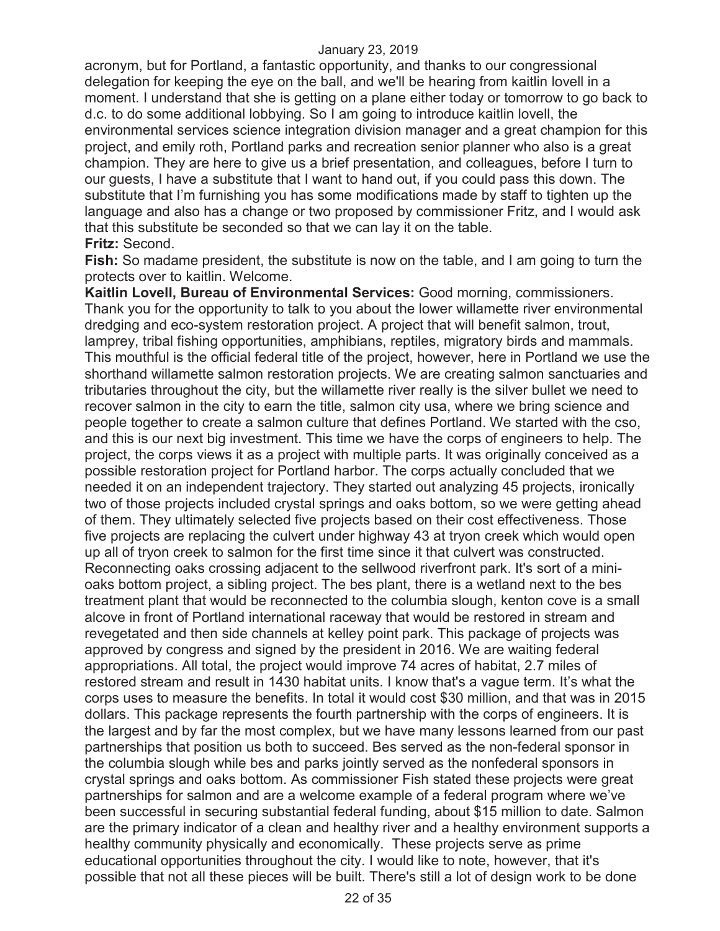acronym, but for Portland, a fantastic opportunity, and thanks to our congressional delegation for keeping the eye on the ball, and we'll be hearing from kaitlin lovell in a moment. I understand that she is getting on a plane either today or tomorrow to go back to d.c. to do some additional lobbying. So I am going to introduce kaitlin lovell, the environmental services science integration division manager and a great champion for this project, and emily roth, Portland parks and recreation senior planner who also is a great champion. They are here to give us a brief presentation, and colleagues, before I turn to our guests, I have a substitute that I want to hand out, if you could pass this down. The substitute that I'm furnishing you has some modifications made by staff to tighten up the language and also has a change or two proposed by commissioner Fritz, and I would ask that this substitute be seconded so that we can lay it on the table. **Fritz:** Second.

**Fish:** So madame president, the substitute is now on the table, and I am going to turn the protects over to kaitlin. Welcome.

**Kaitlin Lovell, Bureau of Environmental Services:** Good morning, commissioners. Thank you for the opportunity to talk to you about the lower willamette river environmental dredging and eco-system restoration project. A project that will benefit salmon, trout, lamprey, tribal fishing opportunities, amphibians, reptiles, migratory birds and mammals. This mouthful is the official federal title of the project, however, here in Portland we use the shorthand willamette salmon restoration projects. We are creating salmon sanctuaries and tributaries throughout the city, but the willamette river really is the silver bullet we need to recover salmon in the city to earn the title, salmon city usa, where we bring science and people together to create a salmon culture that defines Portland. We started with the cso, and this is our next big investment. This time we have the corps of engineers to help. The project, the corps views it as a project with multiple parts. It was originally conceived as a possible restoration project for Portland harbor. The corps actually concluded that we needed it on an independent trajectory. They started out analyzing 45 projects, ironically two of those projects included crystal springs and oaks bottom, so we were getting ahead of them. They ultimately selected five projects based on their cost effectiveness. Those five projects are replacing the culvert under highway 43 at tryon creek which would open up all of tryon creek to salmon for the first time since it that culvert was constructed. Reconnecting oaks crossing adjacent to the sellwood riverfront park. It's sort of a minioaks bottom project, a sibling project. The bes plant, there is a wetland next to the bes treatment plant that would be reconnected to the columbia slough, kenton cove is a small alcove in front of Portland international raceway that would be restored in stream and revegetated and then side channels at kelley point park. This package of projects was approved by congress and signed by the president in 2016. We are waiting federal appropriations. All total, the project would improve 74 acres of habitat, 2.7 miles of restored stream and result in 1430 habitat units. I know that's a vague term. It's what the corps uses to measure the benefits. In total it would cost \$30 million, and that was in 2015 dollars. This package represents the fourth partnership with the corps of engineers. It is the largest and by far the most complex, but we have many lessons learned from our past partnerships that position us both to succeed. Bes served as the non-federal sponsor in the columbia slough while bes and parks jointly served as the nonfederal sponsors in crystal springs and oaks bottom. As commissioner Fish stated these projects were great partnerships for salmon and are a welcome example of a federal program where we've been successful in securing substantial federal funding, about \$15 million to date. Salmon are the primary indicator of a clean and healthy river and a healthy environment supports a healthy community physically and economically. These projects serve as prime educational opportunities throughout the city. I would like to note, however, that it's possible that not all these pieces will be built. There's still a lot of design work to be done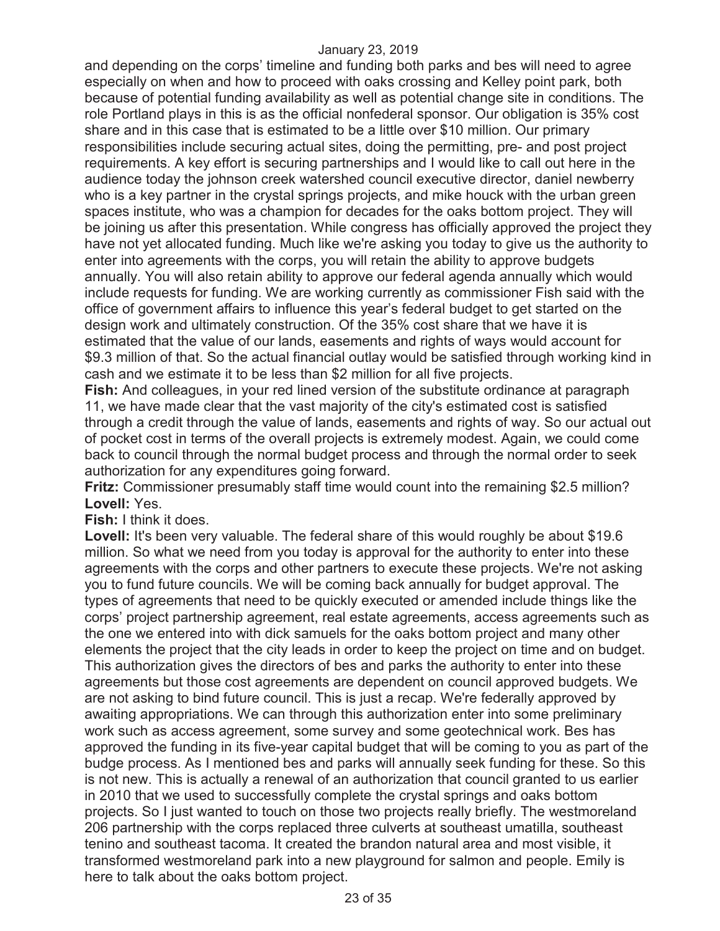and depending on the corps' timeline and funding both parks and bes will need to agree especially on when and how to proceed with oaks crossing and Kelley point park, both because of potential funding availability as well as potential change site in conditions. The role Portland plays in this is as the official nonfederal sponsor. Our obligation is 35% cost share and in this case that is estimated to be a little over \$10 million. Our primary responsibilities include securing actual sites, doing the permitting, pre- and post project requirements. A key effort is securing partnerships and I would like to call out here in the audience today the johnson creek watershed council executive director, daniel newberry who is a key partner in the crystal springs projects, and mike houck with the urban green spaces institute, who was a champion for decades for the oaks bottom project. They will be joining us after this presentation. While congress has officially approved the project they have not yet allocated funding. Much like we're asking you today to give us the authority to enter into agreements with the corps, you will retain the ability to approve budgets annually. You will also retain ability to approve our federal agenda annually which would include requests for funding. We are working currently as commissioner Fish said with the office of government affairs to influence this year's federal budget to get started on the design work and ultimately construction. Of the 35% cost share that we have it is estimated that the value of our lands, easements and rights of ways would account for \$9.3 million of that. So the actual financial outlay would be satisfied through working kind in cash and we estimate it to be less than \$2 million for all five projects.

**Fish:** And colleagues, in your red lined version of the substitute ordinance at paragraph 11, we have made clear that the vast majority of the city's estimated cost is satisfied through a credit through the value of lands, easements and rights of way. So our actual out of pocket cost in terms of the overall projects is extremely modest. Again, we could come back to council through the normal budget process and through the normal order to seek authorization for any expenditures going forward.

**Fritz:** Commissioner presumably staff time would count into the remaining \$2.5 million? **Lovell:** Yes.

**Fish:** I think it does.

Lovell: It's been very valuable. The federal share of this would roughly be about \$19.6 million. So what we need from you today is approval for the authority to enter into these agreements with the corps and other partners to execute these projects. We're not asking you to fund future councils. We will be coming back annually for budget approval. The types of agreements that need to be quickly executed or amended include things like the corps' project partnership agreement, real estate agreements, access agreements such as the one we entered into with dick samuels for the oaks bottom project and many other elements the project that the city leads in order to keep the project on time and on budget. This authorization gives the directors of bes and parks the authority to enter into these agreements but those cost agreements are dependent on council approved budgets. We are not asking to bind future council. This is just a recap. We're federally approved by awaiting appropriations. We can through this authorization enter into some preliminary work such as access agreement, some survey and some geotechnical work. Bes has approved the funding in its five-year capital budget that will be coming to you as part of the budge process. As I mentioned bes and parks will annually seek funding for these. So this is not new. This is actually a renewal of an authorization that council granted to us earlier in 2010 that we used to successfully complete the crystal springs and oaks bottom projects. So I just wanted to touch on those two projects really briefly. The westmoreland 206 partnership with the corps replaced three culverts at southeast umatilla, southeast tenino and southeast tacoma. It created the brandon natural area and most visible, it transformed westmoreland park into a new playground for salmon and people. Emily is here to talk about the oaks bottom project.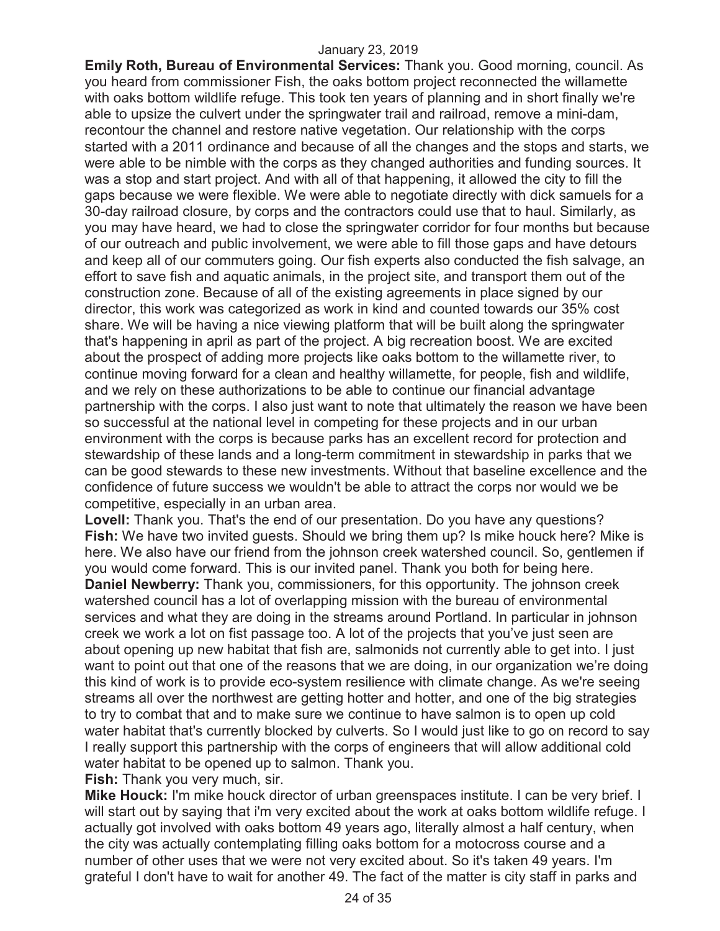**Emily Roth, Bureau of Environmental Services:** Thank you. Good morning, council. As you heard from commissioner Fish, the oaks bottom project reconnected the willamette with oaks bottom wildlife refuge. This took ten years of planning and in short finally we're able to upsize the culvert under the springwater trail and railroad, remove a mini-dam, recontour the channel and restore native vegetation. Our relationship with the corps started with a 2011 ordinance and because of all the changes and the stops and starts, we were able to be nimble with the corps as they changed authorities and funding sources. It was a stop and start project. And with all of that happening, it allowed the city to fill the gaps because we were flexible. We were able to negotiate directly with dick samuels for a 30-day railroad closure, by corps and the contractors could use that to haul. Similarly, as you may have heard, we had to close the springwater corridor for four months but because of our outreach and public involvement, we were able to fill those gaps and have detours and keep all of our commuters going. Our fish experts also conducted the fish salvage, an effort to save fish and aquatic animals, in the project site, and transport them out of the construction zone. Because of all of the existing agreements in place signed by our director, this work was categorized as work in kind and counted towards our 35% cost share. We will be having a nice viewing platform that will be built along the springwater that's happening in april as part of the project. A big recreation boost. We are excited about the prospect of adding more projects like oaks bottom to the willamette river, to continue moving forward for a clean and healthy willamette, for people, fish and wildlife, and we rely on these authorizations to be able to continue our financial advantage partnership with the corps. I also just want to note that ultimately the reason we have been so successful at the national level in competing for these projects and in our urban environment with the corps is because parks has an excellent record for protection and stewardship of these lands and a long-term commitment in stewardship in parks that we can be good stewards to these new investments. Without that baseline excellence and the confidence of future success we wouldn't be able to attract the corps nor would we be competitive, especially in an urban area.

**Lovell:** Thank you. That's the end of our presentation. Do you have any questions? **Fish:** We have two invited guests. Should we bring them up? Is mike houck here? Mike is here. We also have our friend from the johnson creek watershed council. So, gentlemen if you would come forward. This is our invited panel. Thank you both for being here. **Daniel Newberry:** Thank you, commissioners, for this opportunity. The johnson creek watershed council has a lot of overlapping mission with the bureau of environmental services and what they are doing in the streams around Portland. In particular in johnson creek we work a lot on fist passage too. A lot of the projects that you've just seen are about opening up new habitat that fish are, salmonids not currently able to get into. I just want to point out that one of the reasons that we are doing, in our organization we're doing this kind of work is to provide eco-system resilience with climate change. As we're seeing streams all over the northwest are getting hotter and hotter, and one of the big strategies to try to combat that and to make sure we continue to have salmon is to open up cold water habitat that's currently blocked by culverts. So I would just like to go on record to say I really support this partnership with the corps of engineers that will allow additional cold water habitat to be opened up to salmon. Thank you.

**Fish:** Thank you very much, sir.

**Mike Houck:** I'm mike houck director of urban greenspaces institute. I can be very brief. I will start out by saying that i'm very excited about the work at oaks bottom wildlife refuge. I actually got involved with oaks bottom 49 years ago, literally almost a half century, when the city was actually contemplating filling oaks bottom for a motocross course and a number of other uses that we were not very excited about. So it's taken 49 years. I'm grateful I don't have to wait for another 49. The fact of the matter is city staff in parks and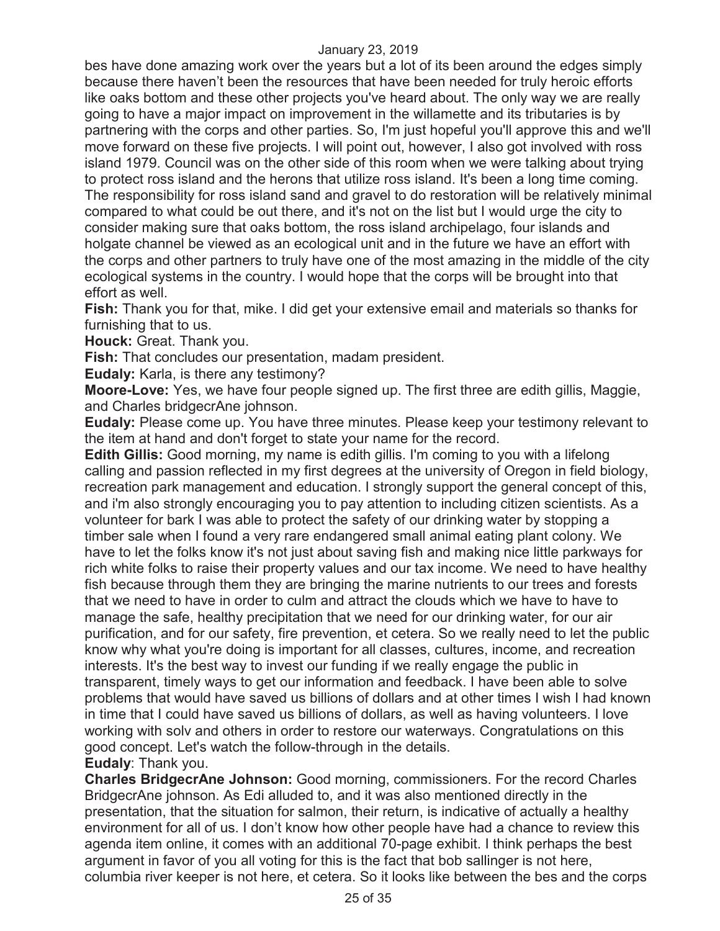bes have done amazing work over the years but a lot of its been around the edges simply because there haven't been the resources that have been needed for truly heroic efforts like oaks bottom and these other projects you've heard about. The only way we are really going to have a major impact on improvement in the willamette and its tributaries is by partnering with the corps and other parties. So, I'm just hopeful you'll approve this and we'll move forward on these five projects. I will point out, however, I also got involved with ross island 1979. Council was on the other side of this room when we were talking about trying to protect ross island and the herons that utilize ross island. It's been a long time coming. The responsibility for ross island sand and gravel to do restoration will be relatively minimal compared to what could be out there, and it's not on the list but I would urge the city to consider making sure that oaks bottom, the ross island archipelago, four islands and holgate channel be viewed as an ecological unit and in the future we have an effort with the corps and other partners to truly have one of the most amazing in the middle of the city ecological systems in the country. I would hope that the corps will be brought into that effort as well.

**Fish:** Thank you for that, mike. I did get your extensive email and materials so thanks for furnishing that to us.

**Houck:** Great. Thank you.

**Fish:** That concludes our presentation, madam president.

**Eudaly:** Karla, is there any testimony?

**Moore-Love:** Yes, we have four people signed up. The first three are edith gillis, Maggie, and Charles bridgecrAne johnson.

**Eudaly:** Please come up. You have three minutes. Please keep your testimony relevant to the item at hand and don't forget to state your name for the record.

**Edith Gillis:** Good morning, my name is edith gillis. I'm coming to you with a lifelong calling and passion reflected in my first degrees at the university of Oregon in field biology, recreation park management and education. I strongly support the general concept of this, and i'm also strongly encouraging you to pay attention to including citizen scientists. As a volunteer for bark I was able to protect the safety of our drinking water by stopping a timber sale when I found a very rare endangered small animal eating plant colony. We have to let the folks know it's not just about saving fish and making nice little parkways for rich white folks to raise their property values and our tax income. We need to have healthy fish because through them they are bringing the marine nutrients to our trees and forests that we need to have in order to culm and attract the clouds which we have to have to manage the safe, healthy precipitation that we need for our drinking water, for our air purification, and for our safety, fire prevention, et cetera. So we really need to let the public know why what you're doing is important for all classes, cultures, income, and recreation interests. It's the best way to invest our funding if we really engage the public in transparent, timely ways to get our information and feedback. I have been able to solve problems that would have saved us billions of dollars and at other times I wish I had known in time that I could have saved us billions of dollars, as well as having volunteers. I love working with solv and others in order to restore our waterways. Congratulations on this good concept. Let's watch the follow-through in the details.

## **Eudaly**: Thank you.

**Charles BridgecrAne Johnson:** Good morning, commissioners. For the record Charles BridgecrAne johnson. As Edi alluded to, and it was also mentioned directly in the presentation, that the situation for salmon, their return, is indicative of actually a healthy environment for all of us. I don't know how other people have had a chance to review this agenda item online, it comes with an additional 70-page exhibit. I think perhaps the best argument in favor of you all voting for this is the fact that bob sallinger is not here, columbia river keeper is not here, et cetera. So it looks like between the bes and the corps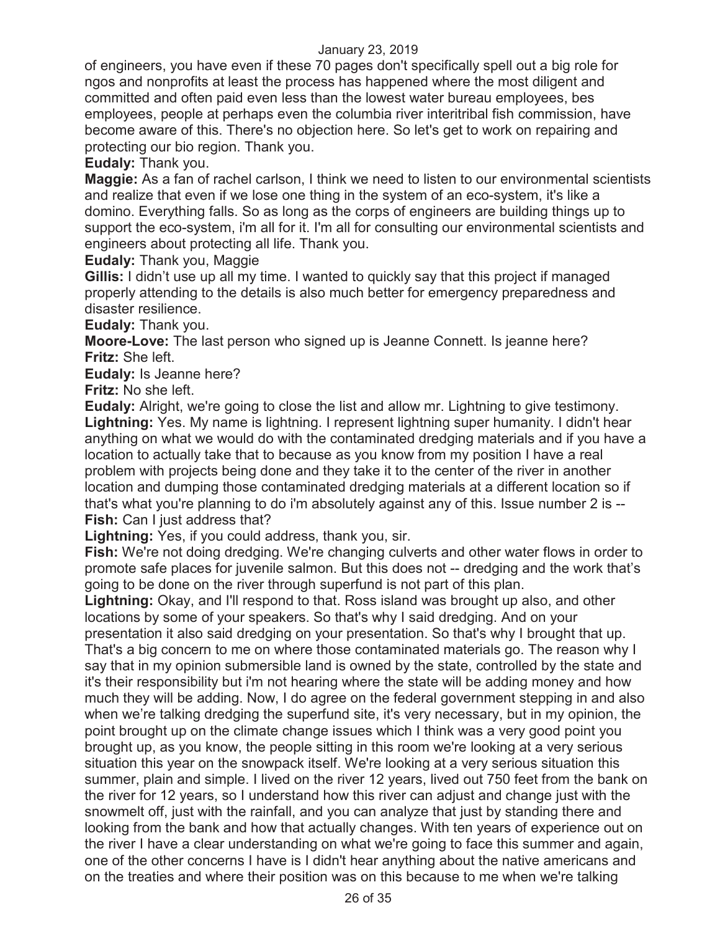of engineers, you have even if these 70 pages don't specifically spell out a big role for ngos and nonprofits at least the process has happened where the most diligent and committed and often paid even less than the lowest water bureau employees, bes employees, people at perhaps even the columbia river interitribal fish commission, have become aware of this. There's no objection here. So let's get to work on repairing and protecting our bio region. Thank you.

**Eudaly:** Thank you.

**Maggie:** As a fan of rachel carlson, I think we need to listen to our environmental scientists and realize that even if we lose one thing in the system of an eco-system, it's like a domino. Everything falls. So as long as the corps of engineers are building things up to support the eco-system, i'm all for it. I'm all for consulting our environmental scientists and engineers about protecting all life. Thank you.

**Eudaly:** Thank you, Maggie

**Gillis:** I didn't use up all my time. I wanted to quickly say that this project if managed properly attending to the details is also much better for emergency preparedness and disaster resilience.

**Eudaly:** Thank you.

**Moore-Love:** The last person who signed up is Jeanne Connett. Is jeanne here? **Fritz:** She left.

**Eudaly:** Is Jeanne here?

**Fritz:** No she left.

**Eudaly:** Alright, we're going to close the list and allow mr. Lightning to give testimony. **Lightning:** Yes. My name is lightning. I represent lightning super humanity. I didn't hear anything on what we would do with the contaminated dredging materials and if you have a location to actually take that to because as you know from my position I have a real problem with projects being done and they take it to the center of the river in another location and dumping those contaminated dredging materials at a different location so if that's what you're planning to do i'm absolutely against any of this. Issue number 2 is -- **Fish:** Can I just address that?

**Lightning:** Yes, if you could address, thank you, sir.

**Fish:** We're not doing dredging. We're changing culverts and other water flows in order to promote safe places for juvenile salmon. But this does not -- dredging and the work that's going to be done on the river through superfund is not part of this plan.

**Lightning:** Okay, and I'll respond to that. Ross island was brought up also, and other locations by some of your speakers. So that's why I said dredging. And on your presentation it also said dredging on your presentation. So that's why I brought that up. That's a big concern to me on where those contaminated materials go. The reason why I say that in my opinion submersible land is owned by the state, controlled by the state and it's their responsibility but i'm not hearing where the state will be adding money and how much they will be adding. Now, I do agree on the federal government stepping in and also when we're talking dredging the superfund site, it's very necessary, but in my opinion, the point brought up on the climate change issues which I think was a very good point you brought up, as you know, the people sitting in this room we're looking at a very serious situation this year on the snowpack itself. We're looking at a very serious situation this summer, plain and simple. I lived on the river 12 years, lived out 750 feet from the bank on the river for 12 years, so I understand how this river can adjust and change just with the snowmelt off, just with the rainfall, and you can analyze that just by standing there and looking from the bank and how that actually changes. With ten years of experience out on the river I have a clear understanding on what we're going to face this summer and again, one of the other concerns I have is I didn't hear anything about the native americans and on the treaties and where their position was on this because to me when we're talking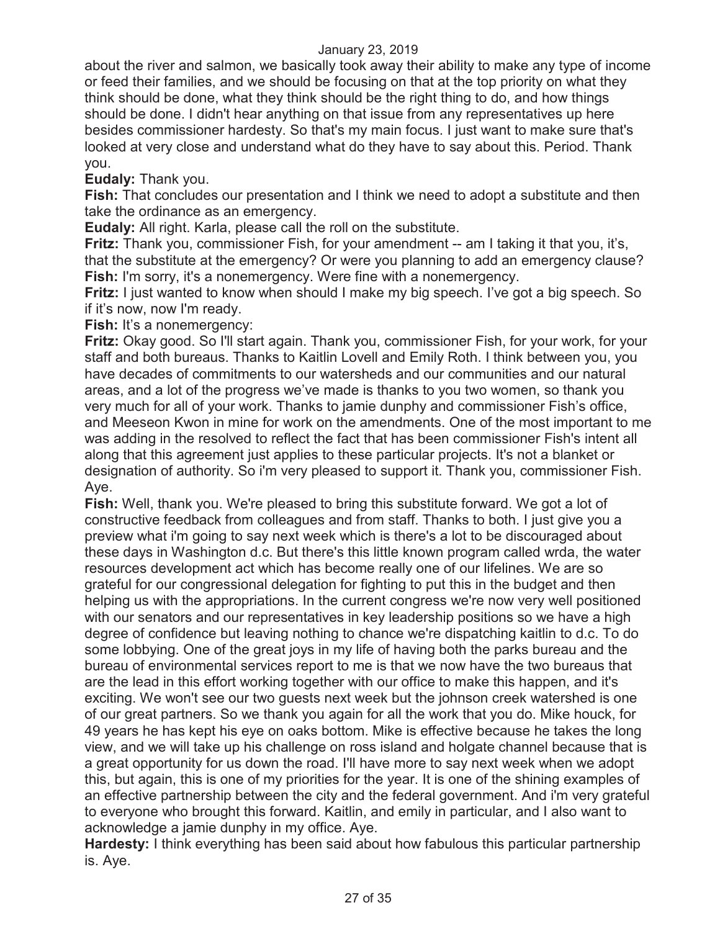about the river and salmon, we basically took away their ability to make any type of income or feed their families, and we should be focusing on that at the top priority on what they think should be done, what they think should be the right thing to do, and how things should be done. I didn't hear anything on that issue from any representatives up here besides commissioner hardesty. So that's my main focus. I just want to make sure that's looked at very close and understand what do they have to say about this. Period. Thank you.

**Eudaly:** Thank you.

**Fish:** That concludes our presentation and I think we need to adopt a substitute and then take the ordinance as an emergency.

**Eudaly:** All right. Karla, please call the roll on the substitute.

**Fritz:** Thank you, commissioner Fish, for your amendment -- am I taking it that you, it's, that the substitute at the emergency? Or were you planning to add an emergency clause? **Fish:** I'm sorry, it's a nonemergency. Were fine with a nonemergency.

**Fritz:** I just wanted to know when should I make my big speech. I've got a big speech. So if it's now, now I'm ready.

**Fish:** It's a nonemergency:

**Fritz:** Okay good. So I'll start again. Thank you, commissioner Fish, for your work, for your staff and both bureaus. Thanks to Kaitlin Lovell and Emily Roth. I think between you, you have decades of commitments to our watersheds and our communities and our natural areas, and a lot of the progress we've made is thanks to you two women, so thank you very much for all of your work. Thanks to jamie dunphy and commissioner Fish's office, and Meeseon Kwon in mine for work on the amendments. One of the most important to me was adding in the resolved to reflect the fact that has been commissioner Fish's intent all along that this agreement just applies to these particular projects. It's not a blanket or designation of authority. So i'm very pleased to support it. Thank you, commissioner Fish. Aye.

**Fish:** Well, thank you. We're pleased to bring this substitute forward. We got a lot of constructive feedback from colleagues and from staff. Thanks to both. I just give you a preview what i'm going to say next week which is there's a lot to be discouraged about these days in Washington d.c. But there's this little known program called wrda, the water resources development act which has become really one of our lifelines. We are so grateful for our congressional delegation for fighting to put this in the budget and then helping us with the appropriations. In the current congress we're now very well positioned with our senators and our representatives in key leadership positions so we have a high degree of confidence but leaving nothing to chance we're dispatching kaitlin to d.c. To do some lobbying. One of the great joys in my life of having both the parks bureau and the bureau of environmental services report to me is that we now have the two bureaus that are the lead in this effort working together with our office to make this happen, and it's exciting. We won't see our two guests next week but the johnson creek watershed is one of our great partners. So we thank you again for all the work that you do. Mike houck, for 49 years he has kept his eye on oaks bottom. Mike is effective because he takes the long view, and we will take up his challenge on ross island and holgate channel because that is a great opportunity for us down the road. I'll have more to say next week when we adopt this, but again, this is one of my priorities for the year. It is one of the shining examples of an effective partnership between the city and the federal government. And i'm very grateful to everyone who brought this forward. Kaitlin, and emily in particular, and I also want to acknowledge a jamie dunphy in my office. Aye.

**Hardesty:** I think everything has been said about how fabulous this particular partnership is. Aye.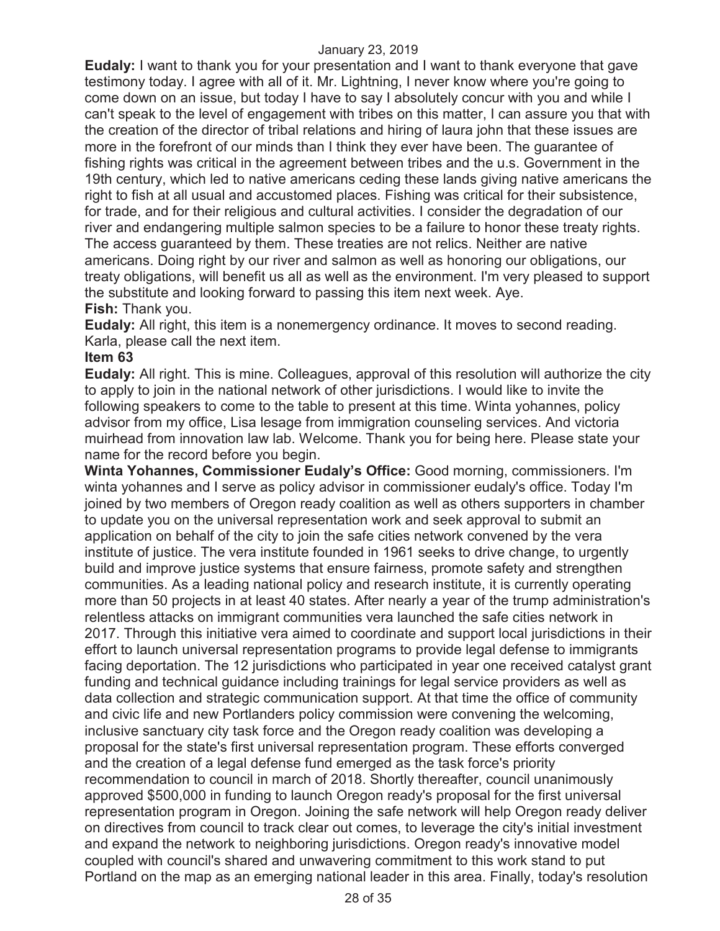**Eudaly:** I want to thank you for your presentation and I want to thank everyone that gave testimony today. I agree with all of it. Mr. Lightning, I never know where you're going to come down on an issue, but today I have to say I absolutely concur with you and while I can't speak to the level of engagement with tribes on this matter, I can assure you that with the creation of the director of tribal relations and hiring of laura john that these issues are more in the forefront of our minds than I think they ever have been. The guarantee of fishing rights was critical in the agreement between tribes and the u.s. Government in the 19th century, which led to native americans ceding these lands giving native americans the right to fish at all usual and accustomed places. Fishing was critical for their subsistence, for trade, and for their religious and cultural activities. I consider the degradation of our river and endangering multiple salmon species to be a failure to honor these treaty rights. The access guaranteed by them. These treaties are not relics. Neither are native americans. Doing right by our river and salmon as well as honoring our obligations, our treaty obligations, will benefit us all as well as the environment. I'm very pleased to support the substitute and looking forward to passing this item next week. Aye.

## **Fish:** Thank you.

**Eudaly:** All right, this item is a nonemergency ordinance. It moves to second reading. Karla, please call the next item.

#### **Item 63**

**Eudaly:** All right. This is mine. Colleagues, approval of this resolution will authorize the city to apply to join in the national network of other jurisdictions. I would like to invite the following speakers to come to the table to present at this time. Winta yohannes, policy advisor from my office, Lisa lesage from immigration counseling services. And victoria muirhead from innovation law lab. Welcome. Thank you for being here. Please state your name for the record before you begin.

**Winta Yohannes, Commissioner Eudaly's Office:** Good morning, commissioners. I'm winta yohannes and I serve as policy advisor in commissioner eudaly's office. Today I'm joined by two members of Oregon ready coalition as well as others supporters in chamber to update you on the universal representation work and seek approval to submit an application on behalf of the city to join the safe cities network convened by the vera institute of justice. The vera institute founded in 1961 seeks to drive change, to urgently build and improve justice systems that ensure fairness, promote safety and strengthen communities. As a leading national policy and research institute, it is currently operating more than 50 projects in at least 40 states. After nearly a year of the trump administration's relentless attacks on immigrant communities vera launched the safe cities network in 2017. Through this initiative vera aimed to coordinate and support local jurisdictions in their effort to launch universal representation programs to provide legal defense to immigrants facing deportation. The 12 jurisdictions who participated in year one received catalyst grant funding and technical guidance including trainings for legal service providers as well as data collection and strategic communication support. At that time the office of community and civic life and new Portlanders policy commission were convening the welcoming, inclusive sanctuary city task force and the Oregon ready coalition was developing a proposal for the state's first universal representation program. These efforts converged and the creation of a legal defense fund emerged as the task force's priority recommendation to council in march of 2018. Shortly thereafter, council unanimously approved \$500,000 in funding to launch Oregon ready's proposal for the first universal representation program in Oregon. Joining the safe network will help Oregon ready deliver on directives from council to track clear out comes, to leverage the city's initial investment and expand the network to neighboring jurisdictions. Oregon ready's innovative model coupled with council's shared and unwavering commitment to this work stand to put Portland on the map as an emerging national leader in this area. Finally, today's resolution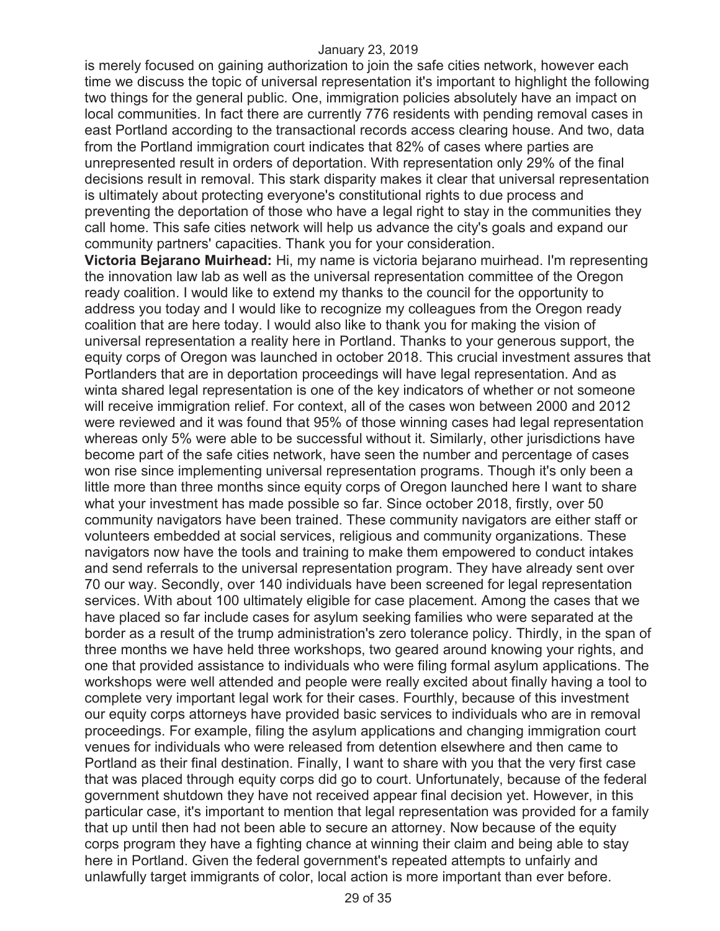is merely focused on gaining authorization to join the safe cities network, however each time we discuss the topic of universal representation it's important to highlight the following two things for the general public. One, immigration policies absolutely have an impact on local communities. In fact there are currently 776 residents with pending removal cases in east Portland according to the transactional records access clearing house. And two, data from the Portland immigration court indicates that 82% of cases where parties are unrepresented result in orders of deportation. With representation only 29% of the final decisions result in removal. This stark disparity makes it clear that universal representation is ultimately about protecting everyone's constitutional rights to due process and preventing the deportation of those who have a legal right to stay in the communities they call home. This safe cities network will help us advance the city's goals and expand our community partners' capacities. Thank you for your consideration.

**Victoria Bejarano Muirhead:** Hi, my name is victoria bejarano muirhead. I'm representing the innovation law lab as well as the universal representation committee of the Oregon ready coalition. I would like to extend my thanks to the council for the opportunity to address you today and I would like to recognize my colleagues from the Oregon ready coalition that are here today. I would also like to thank you for making the vision of universal representation a reality here in Portland. Thanks to your generous support, the equity corps of Oregon was launched in october 2018. This crucial investment assures that Portlanders that are in deportation proceedings will have legal representation. And as winta shared legal representation is one of the key indicators of whether or not someone will receive immigration relief. For context, all of the cases won between 2000 and 2012 were reviewed and it was found that 95% of those winning cases had legal representation whereas only 5% were able to be successful without it. Similarly, other jurisdictions have become part of the safe cities network, have seen the number and percentage of cases won rise since implementing universal representation programs. Though it's only been a little more than three months since equity corps of Oregon launched here I want to share what your investment has made possible so far. Since october 2018, firstly, over 50 community navigators have been trained. These community navigators are either staff or volunteers embedded at social services, religious and community organizations. These navigators now have the tools and training to make them empowered to conduct intakes and send referrals to the universal representation program. They have already sent over 70 our way. Secondly, over 140 individuals have been screened for legal representation services. With about 100 ultimately eligible for case placement. Among the cases that we have placed so far include cases for asylum seeking families who were separated at the border as a result of the trump administration's zero tolerance policy. Thirdly, in the span of three months we have held three workshops, two geared around knowing your rights, and one that provided assistance to individuals who were filing formal asylum applications. The workshops were well attended and people were really excited about finally having a tool to complete very important legal work for their cases. Fourthly, because of this investment our equity corps attorneys have provided basic services to individuals who are in removal proceedings. For example, filing the asylum applications and changing immigration court venues for individuals who were released from detention elsewhere and then came to Portland as their final destination. Finally, I want to share with you that the very first case that was placed through equity corps did go to court. Unfortunately, because of the federal government shutdown they have not received appear final decision yet. However, in this particular case, it's important to mention that legal representation was provided for a family that up until then had not been able to secure an attorney. Now because of the equity corps program they have a fighting chance at winning their claim and being able to stay here in Portland. Given the federal government's repeated attempts to unfairly and unlawfully target immigrants of color, local action is more important than ever before.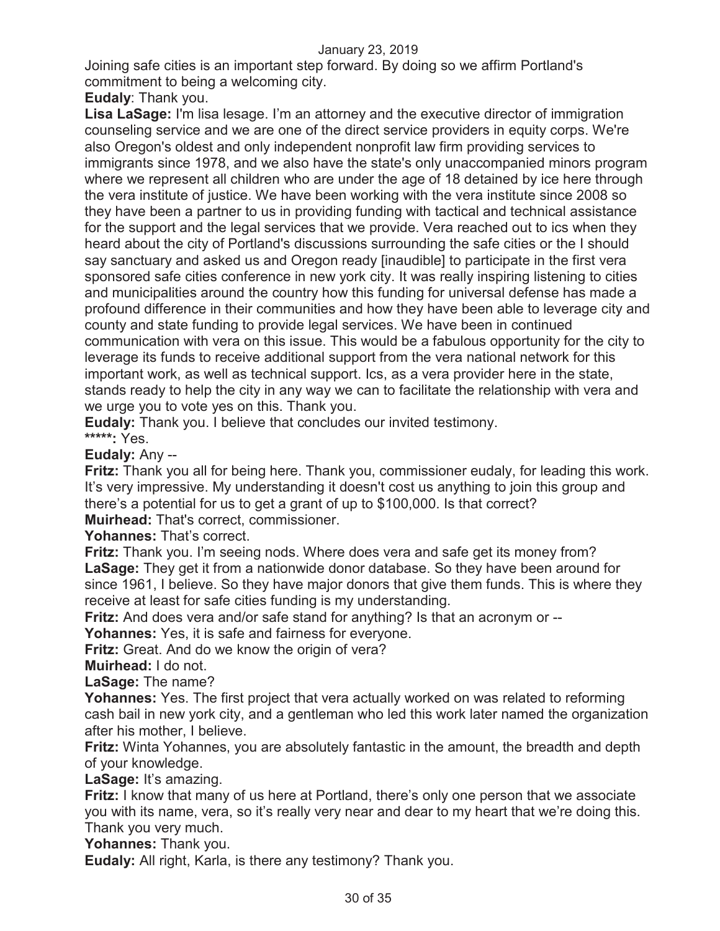Joining safe cities is an important step forward. By doing so we affirm Portland's commitment to being a welcoming city.

**Eudaly**: Thank you.

**Lisa LaSage:** I'm lisa lesage. I'm an attorney and the executive director of immigration counseling service and we are one of the direct service providers in equity corps. We're also Oregon's oldest and only independent nonprofit law firm providing services to immigrants since 1978, and we also have the state's only unaccompanied minors program where we represent all children who are under the age of 18 detained by ice here through the vera institute of justice. We have been working with the vera institute since 2008 so they have been a partner to us in providing funding with tactical and technical assistance for the support and the legal services that we provide. Vera reached out to ics when they heard about the city of Portland's discussions surrounding the safe cities or the I should say sanctuary and asked us and Oregon ready [inaudible] to participate in the first vera sponsored safe cities conference in new york city. It was really inspiring listening to cities and municipalities around the country how this funding for universal defense has made a profound difference in their communities and how they have been able to leverage city and county and state funding to provide legal services. We have been in continued communication with vera on this issue. This would be a fabulous opportunity for the city to leverage its funds to receive additional support from the vera national network for this important work, as well as technical support. Ics, as a vera provider here in the state, stands ready to help the city in any way we can to facilitate the relationship with vera and we urge you to vote yes on this. Thank you.

**Eudaly:** Thank you. I believe that concludes our invited testimony.

**\*\*\*\*\*:** Yes.

**Eudaly:** Any --

**Fritz:** Thank you all for being here. Thank you, commissioner eudaly, for leading this work. It's very impressive. My understanding it doesn't cost us anything to join this group and there's a potential for us to get a grant of up to \$100,000. Is that correct?

**Muirhead:** That's correct, commissioner.

**Yohannes:** That's correct.

**Fritz:** Thank you. I'm seeing nods. Where does vera and safe get its money from? **LaSage:** They get it from a nationwide donor database. So they have been around for since 1961, I believe. So they have major donors that give them funds. This is where they receive at least for safe cities funding is my understanding.

**Fritz:** And does vera and/or safe stand for anything? Is that an acronym or --

**Yohannes:** Yes, it is safe and fairness for everyone.

**Fritz:** Great. And do we know the origin of vera?

**Muirhead:** I do not.

**LaSage:** The name?

**Yohannes:** Yes. The first project that vera actually worked on was related to reforming cash bail in new york city, and a gentleman who led this work later named the organization after his mother, I believe.

**Fritz:** Winta Yohannes, you are absolutely fantastic in the amount, the breadth and depth of your knowledge.

**LaSage:** It's amazing.

**Fritz:** I know that many of us here at Portland, there's only one person that we associate you with its name, vera, so it's really very near and dear to my heart that we're doing this. Thank you very much.

**Yohannes:** Thank you.

**Eudaly:** All right, Karla, is there any testimony? Thank you.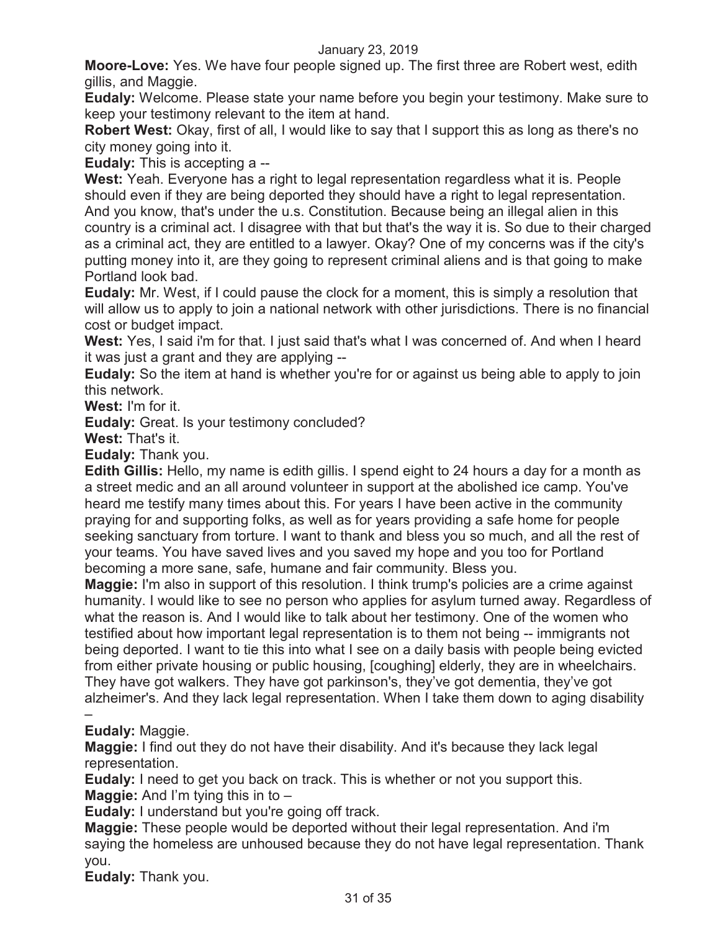**Moore-Love:** Yes. We have four people signed up. The first three are Robert west, edith gillis, and Maggie.

**Eudaly:** Welcome. Please state your name before you begin your testimony. Make sure to keep your testimony relevant to the item at hand.

**Robert West:** Okay, first of all, I would like to say that I support this as long as there's no city money going into it.

**Eudaly:** This is accepting a --

**West:** Yeah. Everyone has a right to legal representation regardless what it is. People should even if they are being deported they should have a right to legal representation. And you know, that's under the u.s. Constitution. Because being an illegal alien in this country is a criminal act. I disagree with that but that's the way it is. So due to their charged as a criminal act, they are entitled to a lawyer. Okay? One of my concerns was if the city's putting money into it, are they going to represent criminal aliens and is that going to make Portland look bad.

**Eudaly:** Mr. West, if I could pause the clock for a moment, this is simply a resolution that will allow us to apply to join a national network with other jurisdictions. There is no financial cost or budget impact.

**West:** Yes, I said i'm for that. I just said that's what I was concerned of. And when I heard it was just a grant and they are applying --

**Eudaly:** So the item at hand is whether you're for or against us being able to apply to join this network.

**West:** I'm for it.

**Eudaly:** Great. Is your testimony concluded?

**West:** That's it.

**Eudaly:** Thank you.

**Edith Gillis:** Hello, my name is edith gillis. I spend eight to 24 hours a day for a month as a street medic and an all around volunteer in support at the abolished ice camp. You've heard me testify many times about this. For years I have been active in the community praying for and supporting folks, as well as for years providing a safe home for people seeking sanctuary from torture. I want to thank and bless you so much, and all the rest of your teams. You have saved lives and you saved my hope and you too for Portland becoming a more sane, safe, humane and fair community. Bless you.

**Maggie:** I'm also in support of this resolution. I think trump's policies are a crime against humanity. I would like to see no person who applies for asylum turned away. Regardless of what the reason is. And I would like to talk about her testimony. One of the women who testified about how important legal representation is to them not being -- immigrants not being deported. I want to tie this into what I see on a daily basis with people being evicted from either private housing or public housing, [coughing] elderly, they are in wheelchairs. They have got walkers. They have got parkinson's, they've got dementia, they've got alzheimer's. And they lack legal representation. When I take them down to aging disability

#### – **Eudaly:** Maggie.

**Maggie:** I find out they do not have their disability. And it's because they lack legal representation.

**Eudaly:** I need to get you back on track. This is whether or not you support this. **Maggie:** And I'm tying this in to –

**Eudaly:** I understand but you're going off track.

**Maggie:** These people would be deported without their legal representation. And i'm saying the homeless are unhoused because they do not have legal representation. Thank you.

**Eudaly:** Thank you.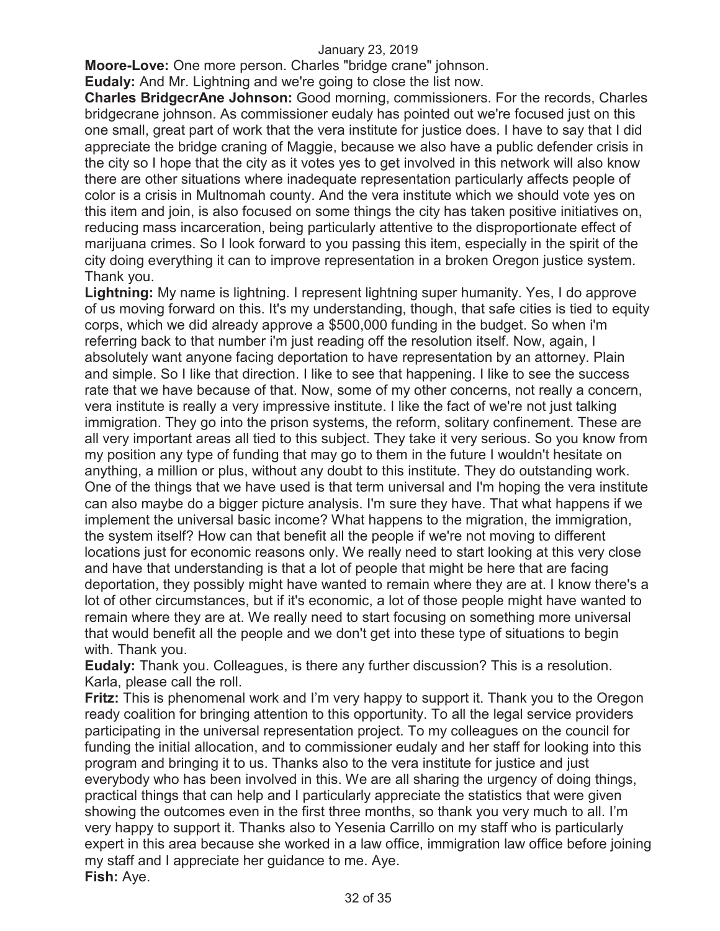**Moore-Love:** One more person. Charles "bridge crane" johnson.

**Eudaly:** And Mr. Lightning and we're going to close the list now.

**Charles BridgecrAne Johnson:** Good morning, commissioners. For the records, Charles bridgecrane johnson. As commissioner eudaly has pointed out we're focused just on this one small, great part of work that the vera institute for justice does. I have to say that I did appreciate the bridge craning of Maggie, because we also have a public defender crisis in the city so I hope that the city as it votes yes to get involved in this network will also know there are other situations where inadequate representation particularly affects people of color is a crisis in Multnomah county. And the vera institute which we should vote yes on this item and join, is also focused on some things the city has taken positive initiatives on, reducing mass incarceration, being particularly attentive to the disproportionate effect of marijuana crimes. So I look forward to you passing this item, especially in the spirit of the city doing everything it can to improve representation in a broken Oregon justice system. Thank you.

**Lightning:** My name is lightning. I represent lightning super humanity. Yes, I do approve of us moving forward on this. It's my understanding, though, that safe cities is tied to equity corps, which we did already approve a \$500,000 funding in the budget. So when i'm referring back to that number i'm just reading off the resolution itself. Now, again, I absolutely want anyone facing deportation to have representation by an attorney. Plain and simple. So I like that direction. I like to see that happening. I like to see the success rate that we have because of that. Now, some of my other concerns, not really a concern, vera institute is really a very impressive institute. I like the fact of we're not just talking immigration. They go into the prison systems, the reform, solitary confinement. These are all very important areas all tied to this subject. They take it very serious. So you know from my position any type of funding that may go to them in the future I wouldn't hesitate on anything, a million or plus, without any doubt to this institute. They do outstanding work. One of the things that we have used is that term universal and I'm hoping the vera institute can also maybe do a bigger picture analysis. I'm sure they have. That what happens if we implement the universal basic income? What happens to the migration, the immigration, the system itself? How can that benefit all the people if we're not moving to different locations just for economic reasons only. We really need to start looking at this very close and have that understanding is that a lot of people that might be here that are facing deportation, they possibly might have wanted to remain where they are at. I know there's a lot of other circumstances, but if it's economic, a lot of those people might have wanted to remain where they are at. We really need to start focusing on something more universal that would benefit all the people and we don't get into these type of situations to begin with. Thank you.

**Eudaly:** Thank you. Colleagues, is there any further discussion? This is a resolution. Karla, please call the roll.

**Fritz:** This is phenomenal work and I'm very happy to support it. Thank you to the Oregon ready coalition for bringing attention to this opportunity. To all the legal service providers participating in the universal representation project. To my colleagues on the council for funding the initial allocation, and to commissioner eudaly and her staff for looking into this program and bringing it to us. Thanks also to the vera institute for justice and just everybody who has been involved in this. We are all sharing the urgency of doing things, practical things that can help and I particularly appreciate the statistics that were given showing the outcomes even in the first three months, so thank you very much to all. I'm very happy to support it. Thanks also to Yesenia Carrillo on my staff who is particularly expert in this area because she worked in a law office, immigration law office before joining my staff and I appreciate her guidance to me. Aye. **Fish:** Aye.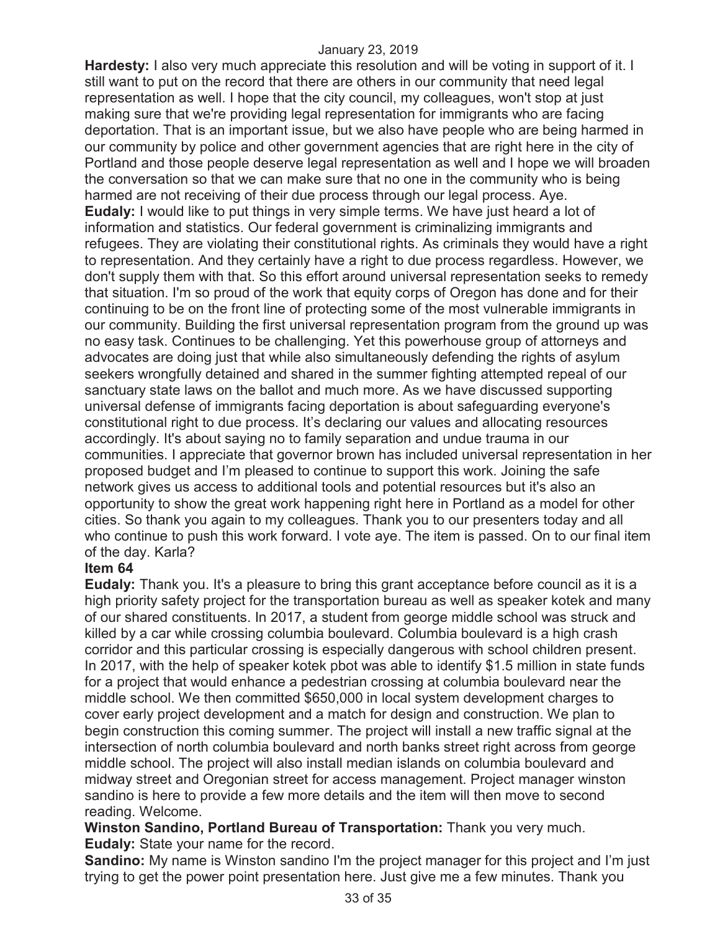**Hardesty:** I also very much appreciate this resolution and will be voting in support of it. I still want to put on the record that there are others in our community that need legal representation as well. I hope that the city council, my colleagues, won't stop at just making sure that we're providing legal representation for immigrants who are facing deportation. That is an important issue, but we also have people who are being harmed in our community by police and other government agencies that are right here in the city of Portland and those people deserve legal representation as well and I hope we will broaden the conversation so that we can make sure that no one in the community who is being harmed are not receiving of their due process through our legal process. Aye. **Eudaly:** I would like to put things in very simple terms. We have just heard a lot of information and statistics. Our federal government is criminalizing immigrants and refugees. They are violating their constitutional rights. As criminals they would have a right to representation. And they certainly have a right to due process regardless. However, we don't supply them with that. So this effort around universal representation seeks to remedy that situation. I'm so proud of the work that equity corps of Oregon has done and for their continuing to be on the front line of protecting some of the most vulnerable immigrants in our community. Building the first universal representation program from the ground up was no easy task. Continues to be challenging. Yet this powerhouse group of attorneys and advocates are doing just that while also simultaneously defending the rights of asylum seekers wrongfully detained and shared in the summer fighting attempted repeal of our sanctuary state laws on the ballot and much more. As we have discussed supporting universal defense of immigrants facing deportation is about safeguarding everyone's constitutional right to due process. It's declaring our values and allocating resources accordingly. It's about saying no to family separation and undue trauma in our communities. I appreciate that governor brown has included universal representation in her proposed budget and I'm pleased to continue to support this work. Joining the safe network gives us access to additional tools and potential resources but it's also an opportunity to show the great work happening right here in Portland as a model for other cities. So thank you again to my colleagues. Thank you to our presenters today and all who continue to push this work forward. I vote aye. The item is passed. On to our final item of the day. Karla?

#### **Item 64**

**Eudaly:** Thank you. It's a pleasure to bring this grant acceptance before council as it is a high priority safety project for the transportation bureau as well as speaker kotek and many of our shared constituents. In 2017, a student from george middle school was struck and killed by a car while crossing columbia boulevard. Columbia boulevard is a high crash corridor and this particular crossing is especially dangerous with school children present. In 2017, with the help of speaker kotek pbot was able to identify \$1.5 million in state funds for a project that would enhance a pedestrian crossing at columbia boulevard near the middle school. We then committed \$650,000 in local system development charges to cover early project development and a match for design and construction. We plan to begin construction this coming summer. The project will install a new traffic signal at the intersection of north columbia boulevard and north banks street right across from george middle school. The project will also install median islands on columbia boulevard and midway street and Oregonian street for access management. Project manager winston sandino is here to provide a few more details and the item will then move to second reading. Welcome.

## **Winston Sandino, Portland Bureau of Transportation:** Thank you very much. **Eudaly:** State your name for the record.

**Sandino:** My name is Winston sandino I'm the project manager for this project and I'm just trying to get the power point presentation here. Just give me a few minutes. Thank you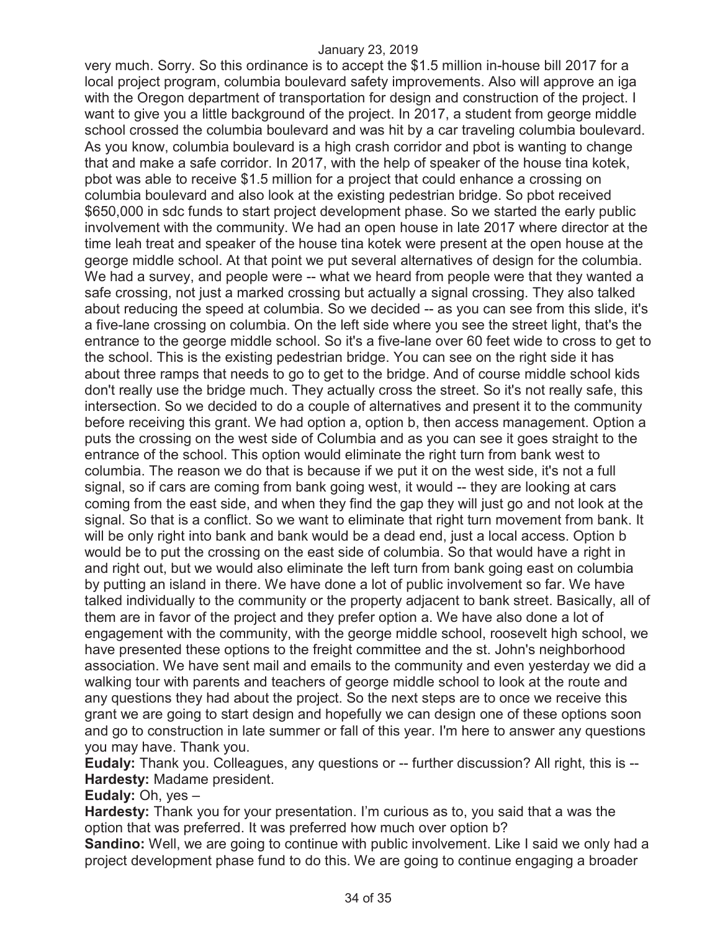very much. Sorry. So this ordinance is to accept the \$1.5 million in-house bill 2017 for a local project program, columbia boulevard safety improvements. Also will approve an iga with the Oregon department of transportation for design and construction of the project. I want to give you a little background of the project. In 2017, a student from george middle school crossed the columbia boulevard and was hit by a car traveling columbia boulevard. As you know, columbia boulevard is a high crash corridor and pbot is wanting to change that and make a safe corridor. In 2017, with the help of speaker of the house tina kotek, pbot was able to receive \$1.5 million for a project that could enhance a crossing on columbia boulevard and also look at the existing pedestrian bridge. So pbot received \$650,000 in sdc funds to start project development phase. So we started the early public involvement with the community. We had an open house in late 2017 where director at the time leah treat and speaker of the house tina kotek were present at the open house at the george middle school. At that point we put several alternatives of design for the columbia. We had a survey, and people were -- what we heard from people were that they wanted a safe crossing, not just a marked crossing but actually a signal crossing. They also talked about reducing the speed at columbia. So we decided -- as you can see from this slide, it's a five-lane crossing on columbia. On the left side where you see the street light, that's the entrance to the george middle school. So it's a five-lane over 60 feet wide to cross to get to the school. This is the existing pedestrian bridge. You can see on the right side it has about three ramps that needs to go to get to the bridge. And of course middle school kids don't really use the bridge much. They actually cross the street. So it's not really safe, this intersection. So we decided to do a couple of alternatives and present it to the community before receiving this grant. We had option a, option b, then access management. Option a puts the crossing on the west side of Columbia and as you can see it goes straight to the entrance of the school. This option would eliminate the right turn from bank west to columbia. The reason we do that is because if we put it on the west side, it's not a full signal, so if cars are coming from bank going west, it would -- they are looking at cars coming from the east side, and when they find the gap they will just go and not look at the signal. So that is a conflict. So we want to eliminate that right turn movement from bank. It will be only right into bank and bank would be a dead end, just a local access. Option b would be to put the crossing on the east side of columbia. So that would have a right in and right out, but we would also eliminate the left turn from bank going east on columbia by putting an island in there. We have done a lot of public involvement so far. We have talked individually to the community or the property adjacent to bank street. Basically, all of them are in favor of the project and they prefer option a. We have also done a lot of engagement with the community, with the george middle school, roosevelt high school, we have presented these options to the freight committee and the st. John's neighborhood association. We have sent mail and emails to the community and even yesterday we did a walking tour with parents and teachers of george middle school to look at the route and any questions they had about the project. So the next steps are to once we receive this grant we are going to start design and hopefully we can design one of these options soon and go to construction in late summer or fall of this year. I'm here to answer any questions you may have. Thank you.

**Eudaly:** Thank you. Colleagues, any questions or -- further discussion? All right, this is -- **Hardesty:** Madame president.

**Eudaly:** Oh, yes –

**Hardesty:** Thank you for your presentation. I'm curious as to, you said that a was the option that was preferred. It was preferred how much over option b?

**Sandino:** Well, we are going to continue with public involvement. Like I said we only had a project development phase fund to do this. We are going to continue engaging a broader